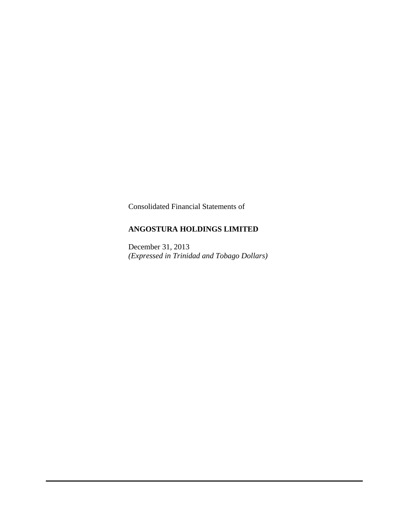Consolidated Financial Statements of

# **ANGOSTURA HOLDINGS LIMITED**

December 31, 2013 *(Expressed in Trinidad and Tobago Dollars)*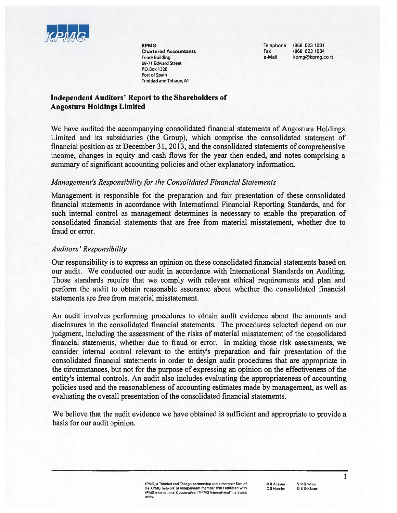

**KPMC Chartered Accountants Trinre Building** 69-71 Edward Street **P.O. Box 1328** Port of Spain Trinidad and Tobago, W.I.

(868) 623 1081 Telephone (868) 623 1084 Fax e-Mail kpmg@kpmg.co.tt

### **Independent Auditors' Report to the Shareholders of Angostura Holdings Limited**

We have audited the accompanying consolidated financial statements of Angostura Holdings Limited and its subsidiaries (the Group), which comprise the consolidated statement of financial position as at December 31, 2013, and the consolidated statements of comprehensive income, changes in equity and cash flows for the year then ended, and notes comprising a summary of significant accounting policies and other explanatory information.

#### Management's Responsibility for the Consolidated Financial Statements

Management is responsible for the preparation and fair presentation of these consolidated financial statements in accordance with International Financial Reporting Standards, and for such internal control as management determines is necessary to enable the preparation of consolidated financial statements that are free from material misstatement, whether due to fraud or error.

#### **Auditors' Responsibility**

Our responsibility is to express an opinion on these consolidated financial statements based on our audit. We conducted our audit in accordance with International Standards on Auditing. Those standards require that we comply with relevant ethical requirements and plan and perform the audit to obtain reasonable assurance about whether the consolidated financial statements are free from material misstatement.

An audit involves performing procedures to obtain audit evidence about the amounts and disclosures in the consolidated financial statements. The procedures selected depend on our judgment, including the assessment of the risks of material misstatement of the consolidated financial statements, whether due to fraud or error. In making those risk assessments, we consider internal control relevant to the entity's preparation and fair presentation of the consolidated financial statements in order to design audit procedures that are appropriate in the circumstances, but not for the purpose of expressing an opinion on the effectiveness of the entity's internal controls. An audit also includes evaluating the appropriateness of accounting policies used and the reasonableness of accounting estimates made by management, as well as evaluating the overall presentation of the consolidated financial statements.

We believe that the audit evidence we have obtained is sufficient and appropriate to provide a basis for our audit opinion.

> KPMG, a Trinidad and Tobago partnership and a member firm of the KPMG network of independent member firms affiliated with KPMG International Cooperative ("KPMG International"), a Swiss entity

R R Alleyne S N Golding D S Sookram C S Hornby

1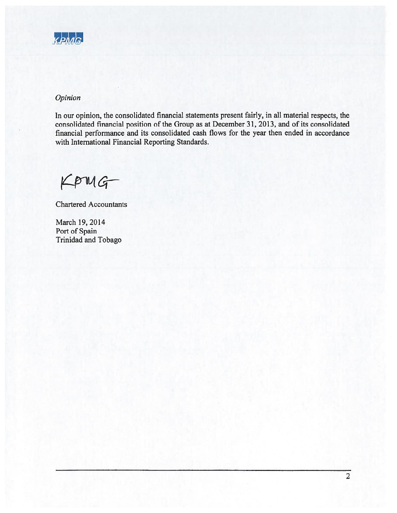

## Opinion

In our opinion, the consolidated financial statements present fairly, in all material respects, the consolidated financial position of the Group as at December 31, 2013, and of its consolidated financial performance and its consolidated cash flows for the year then ended in accordance with International Financial Reporting Standards.

KAMG

**Chartered Accountants** 

March 19, 2014 Port of Spain Trinidad and Tobago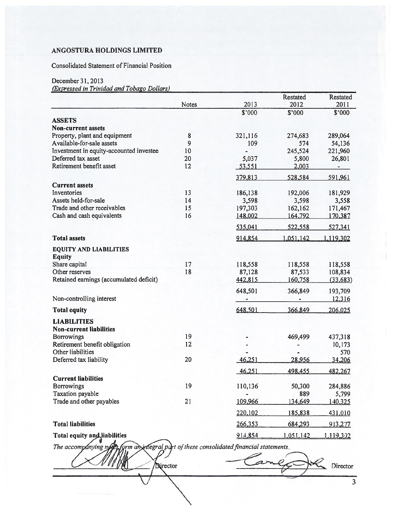#### Consolidated Statement of Financial Position

#### December 31, 2013

(Expressed in Trinidad and Tobago Dollars)

|                                         |              |                                                                  | Restated  | Restated  |
|-----------------------------------------|--------------|------------------------------------------------------------------|-----------|-----------|
|                                         | <b>Notes</b> | 2013                                                             | 2012      | 2011      |
|                                         |              | \$'000                                                           | \$'000    | \$'000    |
| <b>ASSETS</b>                           |              |                                                                  |           |           |
| <b>Non-current assets</b>               |              |                                                                  |           |           |
| Property, plant and equipment           | 8            | 321,116                                                          | 274,683   | 289,064   |
| Available-for-sale assets               | 9            | 109                                                              | 574       | 54,136    |
| Investment in equity-accounted investee | 10           |                                                                  | 245,524   | 221,960   |
| Deferred tax asset                      | 20           | 5,037                                                            | 5,800     | 26,801    |
| Retirement benefit asset                | 12           | 53,551                                                           | 2,003     |           |
|                                         |              | 379,813                                                          | 528,584   | 591,961   |
| <b>Current assets</b>                   |              |                                                                  |           |           |
| Inventories                             | 13           | 186,138                                                          | 192,006   | 181,929   |
| Assets held-for-sale                    | 14           | 3,598                                                            | 3,598     | 3,558     |
| Trade and other receivables             | 15           | 197,303                                                          | 162,162   | 171,467   |
| Cash and cash equivalents               | 16           | 148,002                                                          | 164,792   | 170,387   |
|                                         |              | 535,041                                                          | 522,558   | 527,341   |
| <b>Total assets</b>                     |              | 914,854                                                          | 1.051.142 | 1,119,302 |
| <b>EQUITY AND LIABILITIES</b>           |              |                                                                  |           |           |
| <b>Equity</b>                           |              |                                                                  |           |           |
| Share capital                           | 17           | 118,558                                                          | 118,558   | 118,558   |
| Other reserves                          | 18           | 87,128                                                           | 87,533    | 108,834   |
| Retained earnings (accumulated deficit) |              | 442,815                                                          | 160,758   | (33, 683) |
|                                         |              | 648,501                                                          | 366,849   | 193,709   |
| Non-controlling interest                |              |                                                                  |           | 12,316    |
| <b>Total equity</b>                     |              | 648,501                                                          | 366,849   | 206,025   |
| <b>LIABILITIES</b>                      |              |                                                                  |           |           |
| <b>Non-current liabilities</b>          |              |                                                                  |           |           |
| <b>Borrowings</b>                       | 19           |                                                                  | 469,499   | 437,318   |
| Retirement benefit obligation           | 12           |                                                                  |           | 10,173    |
| Other liabilities                       |              |                                                                  |           | 570       |
| Deferred tax liability                  | 20           | 46,251                                                           | 28,956    | 34,206    |
|                                         |              | 46,251                                                           | 498,455   | 482,267   |
| <b>Current liabilities</b>              |              |                                                                  |           |           |
| <b>Borrowings</b>                       | 19           | 110,136                                                          | 50,300    | 284,886   |
| Taxation payable                        |              |                                                                  | 889       | 5,799     |
| Trade and other payables                | 21           | 109,966                                                          | 134,649   | 140,325   |
|                                         |              | 220,102                                                          | 185,838   | 431,010   |
| <b>Total liabilities</b>                |              | 266,353                                                          | 684,293   | 913,277   |
| Total equity and liabilities            |              | 914,854                                                          | 1.051.142 | 1,119,302 |
| The accompanying note,                  |              | orm an integral part of these consolidated financial statements. |           |           |
|                                         |              |                                                                  |           |           |
|                                         | Director     |                                                                  |           | Director  |
|                                         |              |                                                                  |           |           |

Director

can

 $\overline{3}$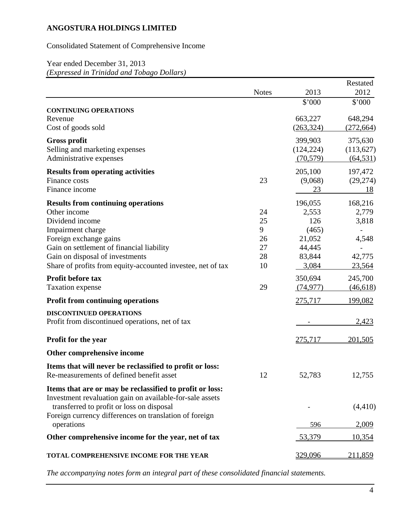## Consolidated Statement of Comprehensive Income

| Year ended December 31, 2013               |  |
|--------------------------------------------|--|
| (Expressed in Trinidad and Tobago Dollars) |  |

|                                                             |              |            | Restated      |
|-------------------------------------------------------------|--------------|------------|---------------|
|                                                             | <b>Notes</b> | 2013       | 2012          |
|                                                             |              | \$'000     | \$'000        |
| <b>CONTINUING OPERATIONS</b><br>Revenue                     |              | 663,227    | 648,294       |
| Cost of goods sold                                          |              | (263, 324) | (272, 664)    |
|                                                             |              |            |               |
| Gross profit                                                |              | 399,903    | 375,630       |
| Selling and marketing expenses                              |              | (124, 224) | (113,627)     |
| Administrative expenses                                     |              | (70, 579)  | (64, 531)     |
| <b>Results from operating activities</b>                    |              | 205,100    | 197,472       |
| Finance costs                                               | 23           | (9,068)    | (29, 274)     |
| Finance income                                              |              | 23         | 18            |
| <b>Results from continuing operations</b>                   |              | 196,055    | 168,216       |
| Other income                                                | 24           | 2,553      | 2,779         |
| Dividend income                                             | 25           | 126        | 3,818         |
| Impairment charge                                           | 9            | (465)      |               |
| Foreign exchange gains                                      | 26           | 21,052     | 4,548         |
| Gain on settlement of financial liability                   | 27           | 44,445     |               |
| Gain on disposal of investments                             | 28           | 83,844     | 42,775        |
| Share of profits from equity-accounted investee, net of tax | 10           | 3,084      | 23,564        |
| Profit before tax                                           |              | 350,694    | 245,700       |
| <b>Taxation</b> expense                                     | 29           | (74, 977)  | (46,618)      |
| <b>Profit from continuing operations</b>                    |              | 275,717    | 199,082       |
| <b>DISCONTINUED OPERATIONS</b>                              |              |            |               |
| Profit from discontinued operations, net of tax             |              |            | 2,423         |
| <b>Profit for the year</b>                                  |              | 275,717    | 201,505       |
| Other comprehensive income                                  |              |            |               |
| Items that will never be reclassified to profit or loss:    |              |            |               |
| Re-measurements of defined benefit asset                    | 12           | 52,783     | 12,755        |
| Items that are or may be reclassified to profit or loss:    |              |            |               |
| Investment revaluation gain on available-for-sale assets    |              |            |               |
| transferred to profit or loss on disposal                   |              |            | (4, 410)      |
| Foreign currency differences on translation of foreign      |              |            |               |
| operations                                                  |              | 596        | 2,009         |
| Other comprehensive income for the year, net of tax         |              | 53,379     | <u>10,354</u> |
|                                                             |              |            |               |
| TOTAL COMPREHENSIVE INCOME FOR THE YEAR                     |              | 329,096    | 211,859       |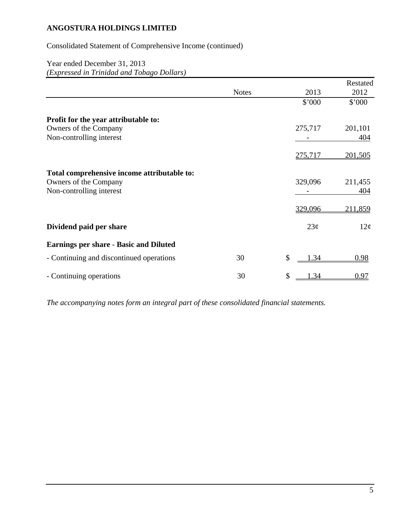Consolidated Statement of Comprehensive Income (continued)

| Year ended December 31, 2013               |  |
|--------------------------------------------|--|
| (Expressed in Trinidad and Tobago Dollars) |  |

|                                               |              |            | Restated       |
|-----------------------------------------------|--------------|------------|----------------|
|                                               | <b>Notes</b> | 2013       | 2012           |
|                                               |              | \$'000     | \$'000         |
| Profit for the year attributable to:          |              |            |                |
| Owners of the Company                         |              | 275,717    | 201,101        |
| Non-controlling interest                      |              |            | 404            |
|                                               |              | 275,717    | <u>201,505</u> |
| Total comprehensive income attributable to:   |              |            |                |
| Owners of the Company                         |              | 329,096    | 211,455        |
| Non-controlling interest                      |              |            | 404            |
|                                               |              | 329,096    | 211,859        |
| Dividend paid per share                       |              | 23¢        | 12¢            |
| <b>Earnings per share - Basic and Diluted</b> |              |            |                |
| - Continuing and discontinued operations      | 30           | \$<br>1.34 | 0.98           |
| - Continuing operations                       | 30           | \$<br>1.34 | 0.97           |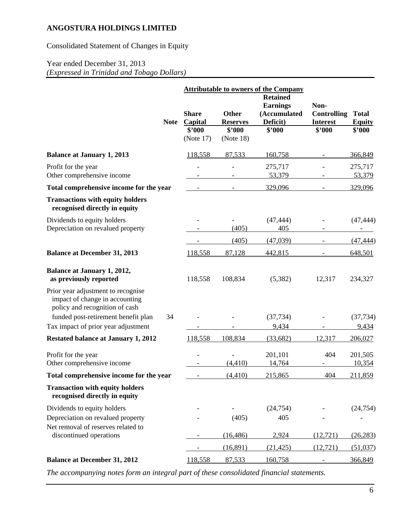Consolidated Statement of Changes in Equity

Year ended December 31, 2013 *(Expressed in Trinidad and Tobago Dollars)* 

|                                                                                                                                                                                            |                                                |                                                        | <b>Attributable to owners of the Company</b><br><b>Retained</b> |                                                         |                                         |
|--------------------------------------------------------------------------------------------------------------------------------------------------------------------------------------------|------------------------------------------------|--------------------------------------------------------|-----------------------------------------------------------------|---------------------------------------------------------|-----------------------------------------|
| <b>Note</b>                                                                                                                                                                                | <b>Share</b><br>Capital<br>\$2000<br>(Note 17) | <b>Other</b><br><b>Reserves</b><br>\$'000<br>(Note 18) | <b>Earnings</b><br>(Accumulated<br>Deficit)<br>\$'000           | Non-<br><b>Controlling</b><br><b>Interest</b><br>\$'000 | <b>Total</b><br><b>Equity</b><br>\$'000 |
| <b>Balance at January 1, 2013</b>                                                                                                                                                          | 118,558                                        | 87,533                                                 | 160,758                                                         |                                                         | 366,849                                 |
| Profit for the year<br>Other comprehensive income                                                                                                                                          |                                                |                                                        | 275,717<br>53,379                                               |                                                         | 275,717<br>53,379                       |
| Total comprehensive income for the year                                                                                                                                                    |                                                |                                                        | 329,096                                                         |                                                         | 329,096                                 |
| <b>Transactions with equity holders</b><br>recognised directly in equity                                                                                                                   |                                                |                                                        |                                                                 |                                                         |                                         |
| Dividends to equity holders<br>Depreciation on revalued property                                                                                                                           |                                                | (405)                                                  | (47, 444)<br>405                                                |                                                         | (47, 444)                               |
|                                                                                                                                                                                            |                                                | (405)                                                  | (47,039)                                                        |                                                         | (47, 444)                               |
| <b>Balance at December 31, 2013</b>                                                                                                                                                        | 118,558                                        | 87,128                                                 | 442,815                                                         |                                                         | 648,501                                 |
| <b>Balance at January 1, 2012,</b><br>as previously reported                                                                                                                               | 118,558                                        | 108,834                                                | (5,382)                                                         | 12,317                                                  | 234,327                                 |
| Prior year adjustment to recognise<br>impact of change in accounting<br>policy and recognition of cash<br>funded post-retirement benefit plan<br>34<br>Tax impact of prior year adjustment |                                                |                                                        | (37, 734)<br>9,434                                              |                                                         | (37, 734)<br>9,434                      |
| <b>Restated balance at January 1, 2012</b>                                                                                                                                                 | 118,558                                        | 108,834                                                | (33, 682)                                                       | 12,317                                                  | 206,027                                 |
| Profit for the year<br>Other comprehensive income                                                                                                                                          |                                                | (4, 410)                                               | 201,101<br>14,764                                               | 404                                                     | 201,505<br>10,354                       |
| Total comprehensive income for the year                                                                                                                                                    |                                                | (4, 410)                                               | 215,865                                                         | 404                                                     | 211,859                                 |
| <b>Transaction with equity holders</b><br>recognised directly in equity                                                                                                                    |                                                |                                                        |                                                                 |                                                         |                                         |
| Dividends to equity holders<br>Depreciation on revalued property<br>Net removal of reserves related to                                                                                     |                                                | (405)                                                  | (24, 754)<br>405                                                |                                                         | (24, 754)                               |
| discontinued operations                                                                                                                                                                    |                                                | (16, 486)                                              | 2,924                                                           | (12, 721)                                               | (26, 283)                               |
|                                                                                                                                                                                            |                                                | (16, 891)                                              | (21, 425)                                                       | (12, 721)                                               | (51,037)                                |
| <b>Balance at December 31, 2012</b>                                                                                                                                                        | 118,558                                        | 87,533                                                 | 160,758                                                         |                                                         | 366,849                                 |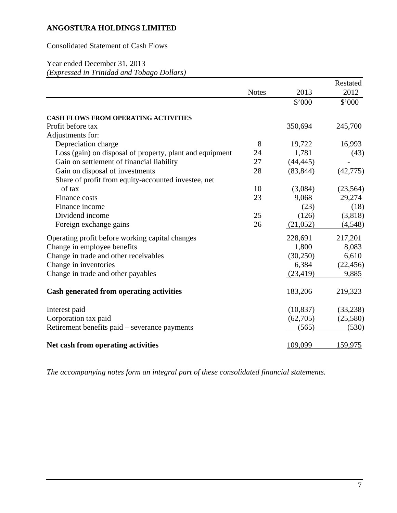## Consolidated Statement of Cash Flows

Year ended December 31, 2013 *(Expressed in Trinidad and Tobago Dollars)* 

|                                                          |              |           | Restated  |
|----------------------------------------------------------|--------------|-----------|-----------|
|                                                          | <b>Notes</b> | 2013      | 2012      |
|                                                          |              | \$'000    | \$'000    |
| <b>CASH FLOWS FROM OPERATING ACTIVITIES</b>              |              |           |           |
| Profit before tax                                        |              | 350,694   | 245,700   |
| Adjustments for:                                         |              |           |           |
| Depreciation charge                                      | 8            | 19,722    | 16,993    |
| Loss (gain) on disposal of property, plant and equipment | 24           | 1,781     | (43)      |
| Gain on settlement of financial liability                | 27           | (44, 445) |           |
| Gain on disposal of investments                          | 28           | (83, 844) | (42, 775) |
| Share of profit from equity-accounted investee, net      |              |           |           |
| of tax                                                   | 10           | (3,084)   | (23, 564) |
| Finance costs                                            | 23           | 9,068     | 29,274    |
| Finance income                                           |              | (23)      | (18)      |
| Dividend income                                          | 25           | (126)     | (3,818)   |
| Foreign exchange gains                                   | 26           | (21,052)  | (4,548)   |
| Operating profit before working capital changes          |              | 228,691   | 217,201   |
| Change in employee benefits                              |              | 1,800     | 8,083     |
| Change in trade and other receivables                    |              | (30,250)  | 6,610     |
| Change in inventories                                    |              | 6,384     | (22, 456) |
| Change in trade and other payables                       |              | (23, 419) | 9,885     |
| Cash generated from operating activities                 |              | 183,206   | 219,323   |
| Interest paid                                            |              | (10, 837) | (33,238)  |
| Corporation tax paid                                     |              | (62,705)  | (25,580)  |
| Retirement benefits paid - severance payments            |              | (565)     | (530)     |
| Net cash from operating activities                       |              | 109,099   | 159,975   |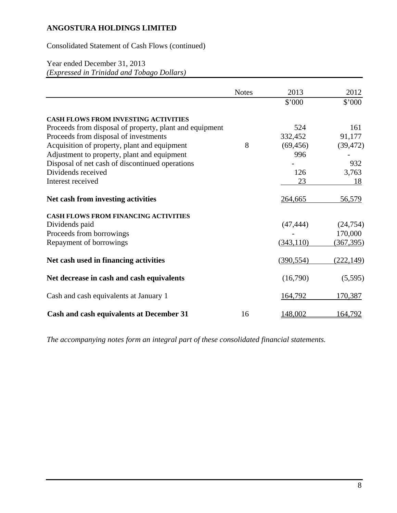Consolidated Statement of Cash Flows (continued)

| Year ended December 31, 2013               |
|--------------------------------------------|
| (Expressed in Trinidad and Tobago Dollars) |

|                                                         | <b>Notes</b> | 2013       | 2012       |
|---------------------------------------------------------|--------------|------------|------------|
|                                                         |              | \$'000     | \$'000     |
| <b>CASH FLOWS FROM INVESTING ACTIVITIES</b>             |              |            |            |
| Proceeds from disposal of property, plant and equipment |              | 524        | 161        |
| Proceeds from disposal of investments                   |              | 332,452    | 91,177     |
| Acquisition of property, plant and equipment            | 8            | (69, 456)  | (39, 472)  |
| Adjustment to property, plant and equipment             |              | 996        |            |
| Disposal of net cash of discontinued operations         |              |            | 932        |
| Dividends received                                      |              | 126        | 3,763      |
| Interest received                                       |              | 23         | 18         |
| Net cash from investing activities                      |              | 264,665    | 56,579     |
| <b>CASH FLOWS FROM FINANCING ACTIVITIES</b>             |              |            |            |
| Dividends paid                                          |              | (47, 444)  | (24, 754)  |
| Proceeds from borrowings                                |              |            | 170,000    |
| Repayment of borrowings                                 |              | (343, 110) | (367, 395) |
| Net cash used in financing activities                   |              | (390, 554) | (222, 149) |
| Net decrease in cash and cash equivalents               |              | (16,790)   | (5,595)    |
| Cash and cash equivalents at January 1                  |              | 164,792    | 170,387    |
| Cash and cash equivalents at December 31                | 16           | 148,002    | 164,792    |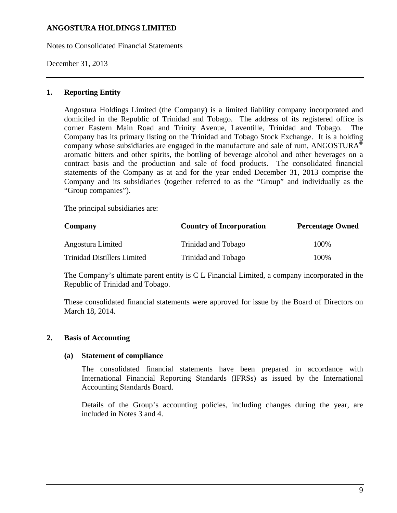Notes to Consolidated Financial Statements

December 31, 2013

### **1. Reporting Entity**

Angostura Holdings Limited (the Company) is a limited liability company incorporated and domiciled in the Republic of Trinidad and Tobago. The address of its registered office is corner Eastern Main Road and Trinity Avenue, Laventille, Trinidad and Tobago. The Company has its primary listing on the Trinidad and Tobago Stock Exchange. It is a holding company whose subsidiaries are engaged in the manufacture and sale of rum, ANGOSTURA® aromatic bitters and other spirits, the bottling of beverage alcohol and other beverages on a contract basis and the production and sale of food products. The consolidated financial statements of the Company as at and for the year ended December 31, 2013 comprise the Company and its subsidiaries (together referred to as the "Group" and individually as the "Group companies").

The principal subsidiaries are:

| Company                            | <b>Country of Incorporation</b> | <b>Percentage Owned</b> |
|------------------------------------|---------------------------------|-------------------------|
| Angostura Limited                  | Trinidad and Tobago             | 100\%                   |
| <b>Trinidad Distillers Limited</b> | Trinidad and Tobago             | 100\%                   |

The Company's ultimate parent entity is C L Financial Limited, a company incorporated in the Republic of Trinidad and Tobago.

These consolidated financial statements were approved for issue by the Board of Directors on March 18, 2014.

## **2. Basis of Accounting**

### **(a) Statement of compliance**

The consolidated financial statements have been prepared in accordance with International Financial Reporting Standards (IFRSs) as issued by the International Accounting Standards Board.

Details of the Group's accounting policies, including changes during the year, are included in Notes 3 and 4.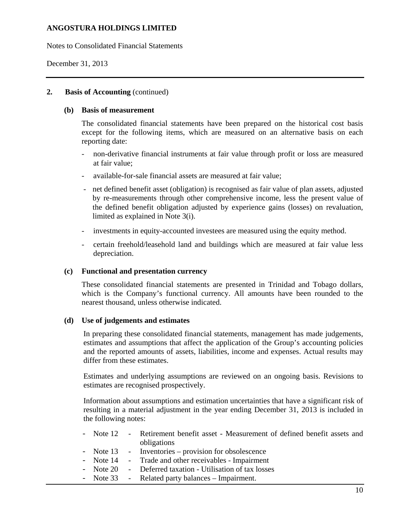Notes to Consolidated Financial Statements

December 31, 2013

### **2. Basis of Accounting** (continued)

### **(b) Basis of measurement**

 The consolidated financial statements have been prepared on the historical cost basis except for the following items, which are measured on an alternative basis on each reporting date:

- non-derivative financial instruments at fair value through profit or loss are measured at fair value;
- available-for-sale financial assets are measured at fair value;
- net defined benefit asset (obligation) is recognised as fair value of plan assets, adjusted by re-measurements through other comprehensive income, less the present value of the defined benefit obligation adjusted by experience gains (losses) on revaluation, limited as explained in Note 3(i).
- investments in equity-accounted investees are measured using the equity method.
- certain freehold/leasehold land and buildings which are measured at fair value less depreciation.

### **(c) Functional and presentation currency**

These consolidated financial statements are presented in Trinidad and Tobago dollars, which is the Company's functional currency. All amounts have been rounded to the nearest thousand, unless otherwise indicated.

### **(d) Use of judgements and estimates**

In preparing these consolidated financial statements, management has made judgements, estimates and assumptions that affect the application of the Group's accounting policies and the reported amounts of assets, liabilities, income and expenses. Actual results may differ from these estimates.

Estimates and underlying assumptions are reviewed on an ongoing basis. Revisions to estimates are recognised prospectively.

Information about assumptions and estimation uncertainties that have a significant risk of resulting in a material adjustment in the year ending December 31, 2013 is included in the following notes:

- Note 12 Retirement benefit asset Measurement of defined benefit assets and obligations
- Note 13 Inventories provision for obsolescence
- Note 14 Trade and other receivables Impairment
- Note 20 Deferred taxation Utilisation of tax losses
- Note 33 Related party balances Impairment.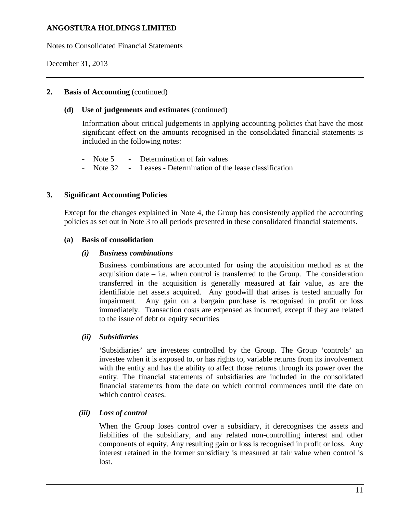Notes to Consolidated Financial Statements

December 31, 2013

### **2. Basis of Accounting** (continued)

### **(d) Use of judgements and estimates** (continued)

Information about critical judgements in applying accounting policies that have the most significant effect on the amounts recognised in the consolidated financial statements is included in the following notes:

- Note 5 Determination of fair values
- Note 32 Leases Determination of the lease classification

### **3. Significant Accounting Policies**

Except for the changes explained in Note 4, the Group has consistently applied the accounting policies as set out in Note 3 to all periods presented in these consolidated financial statements.

### **(a) Basis of consolidation**

### *(i) Business combinations*

Business combinations are accounted for using the acquisition method as at the acquisition date  $-$  i.e. when control is transferred to the Group. The consideration transferred in the acquisition is generally measured at fair value, as are the identifiable net assets acquired. Any goodwill that arises is tested annually for impairment. Any gain on a bargain purchase is recognised in profit or loss immediately. Transaction costs are expensed as incurred, except if they are related to the issue of debt or equity securities

### *(ii) Subsidiaries*

'Subsidiaries' are investees controlled by the Group. The Group 'controls' an investee when it is exposed to, or has rights to, variable returns from its involvement with the entity and has the ability to affect those returns through its power over the entity. The financial statements of subsidiaries are included in the consolidated financial statements from the date on which control commences until the date on which control ceases.

## *(iii) Loss of control*

 When the Group loses control over a subsidiary, it derecognises the assets and liabilities of the subsidiary, and any related non-controlling interest and other components of equity. Any resulting gain or loss is recognised in profit or loss. Any interest retained in the former subsidiary is measured at fair value when control is lost.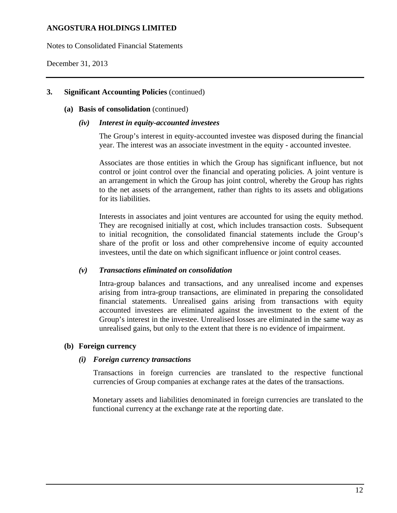Notes to Consolidated Financial Statements

December 31, 2013

### **3. Significant Accounting Policies** (continued)

### **(a) Basis of consolidation** (continued)

### *(iv) Interest in equity-accounted investees*

The Group's interest in equity-accounted investee was disposed during the financial year. The interest was an associate investment in the equity - accounted investee.

Associates are those entities in which the Group has significant influence, but not control or joint control over the financial and operating policies. A joint venture is an arrangement in which the Group has joint control, whereby the Group has rights to the net assets of the arrangement, rather than rights to its assets and obligations for its liabilities.

Interests in associates and joint ventures are accounted for using the equity method. They are recognised initially at cost, which includes transaction costs. Subsequent to initial recognition, the consolidated financial statements include the Group's share of the profit or loss and other comprehensive income of equity accounted investees, until the date on which significant influence or joint control ceases.

### *(v) Transactions eliminated on consolidation*

Intra-group balances and transactions, and any unrealised income and expenses arising from intra-group transactions, are eliminated in preparing the consolidated financial statements. Unrealised gains arising from transactions with equity accounted investees are eliminated against the investment to the extent of the Group's interest in the investee. Unrealised losses are eliminated in the same way as unrealised gains, but only to the extent that there is no evidence of impairment.

### **(b) Foreign currency**

### *(i) Foreign currency transactions*

 Transactions in foreign currencies are translated to the respective functional currencies of Group companies at exchange rates at the dates of the transactions.

Monetary assets and liabilities denominated in foreign currencies are translated to the functional currency at the exchange rate at the reporting date.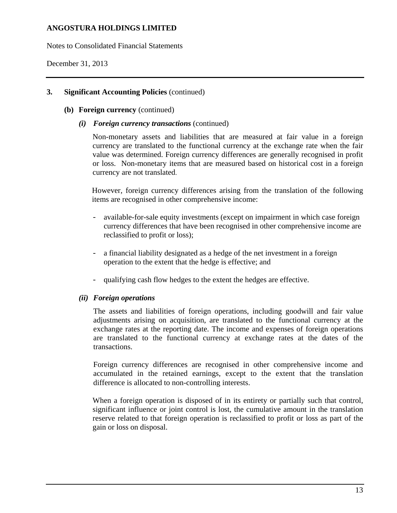Notes to Consolidated Financial Statements

December 31, 2013

### **3. Significant Accounting Policies** (continued)

### **(b) Foreign currency** (continued)

*(i) Foreign currency transactions* (continued)

Non-monetary assets and liabilities that are measured at fair value in a foreign currency are translated to the functional currency at the exchange rate when the fair value was determined. Foreign currency differences are generally recognised in profit or loss. Non-monetary items that are measured based on historical cost in a foreign currency are not translated.

However, foreign currency differences arising from the translation of the following items are recognised in other comprehensive income:

- available-for-sale equity investments (except on impairment in which case foreign currency differences that have been recognised in other comprehensive income are reclassified to profit or loss);
- a financial liability designated as a hedge of the net investment in a foreign operation to the extent that the hedge is effective; and
- qualifying cash flow hedges to the extent the hedges are effective.

## *(ii) Foreign operations*

The assets and liabilities of foreign operations, including goodwill and fair value adjustments arising on acquisition, are translated to the functional currency at the exchange rates at the reporting date. The income and expenses of foreign operations are translated to the functional currency at exchange rates at the dates of the transactions.

Foreign currency differences are recognised in other comprehensive income and accumulated in the retained earnings, except to the extent that the translation difference is allocated to non-controlling interests.

When a foreign operation is disposed of in its entirety or partially such that control, significant influence or joint control is lost, the cumulative amount in the translation reserve related to that foreign operation is reclassified to profit or loss as part of the gain or loss on disposal.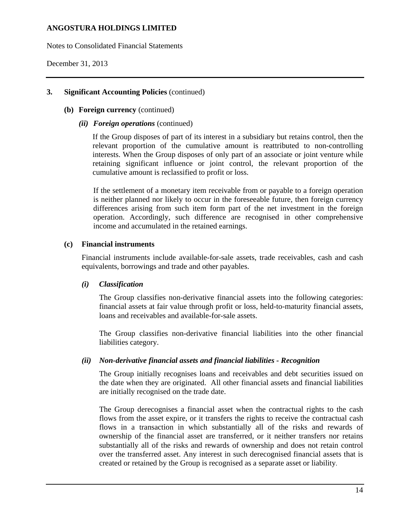Notes to Consolidated Financial Statements

December 31, 2013

### **3. Significant Accounting Policies** (continued)

### **(b) Foreign currency** (continued)

*(ii) Foreign operations* (continued)

If the Group disposes of part of its interest in a subsidiary but retains control, then the relevant proportion of the cumulative amount is reattributed to non-controlling interests. When the Group disposes of only part of an associate or joint venture while retaining significant influence or joint control, the relevant proportion of the cumulative amount is reclassified to profit or loss.

If the settlement of a monetary item receivable from or payable to a foreign operation is neither planned nor likely to occur in the foreseeable future, then foreign currency differences arising from such item form part of the net investment in the foreign operation. Accordingly, such difference are recognised in other comprehensive income and accumulated in the retained earnings.

### **(c) Financial instruments**

 Financial instruments include available-for-sale assets, trade receivables, cash and cash equivalents, borrowings and trade and other payables.

## *(i) Classification*

The Group classifies non-derivative financial assets into the following categories: financial assets at fair value through profit or loss, held-to-maturity financial assets, loans and receivables and available-for-sale assets.

The Group classifies non-derivative financial liabilities into the other financial liabilities category.

### *(ii) Non-derivative financial assets and financial liabilities - Recognition*

The Group initially recognises loans and receivables and debt securities issued on the date when they are originated. All other financial assets and financial liabilities are initially recognised on the trade date.

The Group derecognises a financial asset when the contractual rights to the cash flows from the asset expire, or it transfers the rights to receive the contractual cash flows in a transaction in which substantially all of the risks and rewards of ownership of the financial asset are transferred, or it neither transfers nor retains substantially all of the risks and rewards of ownership and does not retain control over the transferred asset. Any interest in such derecognised financial assets that is created or retained by the Group is recognised as a separate asset or liability.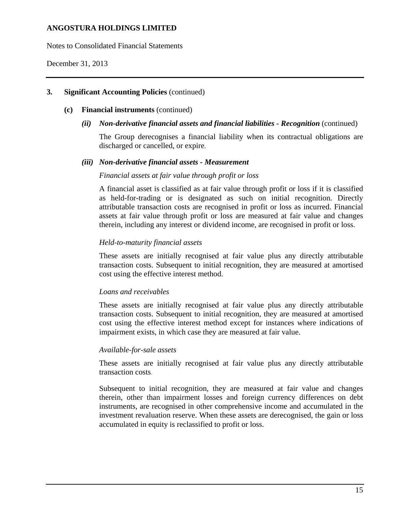Notes to Consolidated Financial Statements

December 31, 2013

### **3. Significant Accounting Policies** (continued)

### **(c) Financial instruments** (continued)

*(ii) Non-derivative financial assets and financial liabilities - Recognition (continued)* 

The Group derecognises a financial liability when its contractual obligations are discharged or cancelled, or expire.

### *(iii) Non-derivative financial assets - Measurement*

### *Financial assets at fair value through profit or loss*

A financial asset is classified as at fair value through profit or loss if it is classified as held-for-trading or is designated as such on initial recognition. Directly attributable transaction costs are recognised in profit or loss as incurred. Financial assets at fair value through profit or loss are measured at fair value and changes therein, including any interest or dividend income, are recognised in profit or loss.

### *Held-to-maturity financial assets*

These assets are initially recognised at fair value plus any directly attributable transaction costs. Subsequent to initial recognition, they are measured at amortised cost using the effective interest method.

## *Loans and receivables*

These assets are initially recognised at fair value plus any directly attributable transaction costs. Subsequent to initial recognition, they are measured at amortised cost using the effective interest method except for instances where indications of impairment exists, in which case they are measured at fair value.

### *Available-for-sale assets*

These assets are initially recognised at fair value plus any directly attributable transaction costs.

Subsequent to initial recognition, they are measured at fair value and changes therein, other than impairment losses and foreign currency differences on debt instruments, are recognised in other comprehensive income and accumulated in the investment revaluation reserve. When these assets are derecognised, the gain or loss accumulated in equity is reclassified to profit or loss.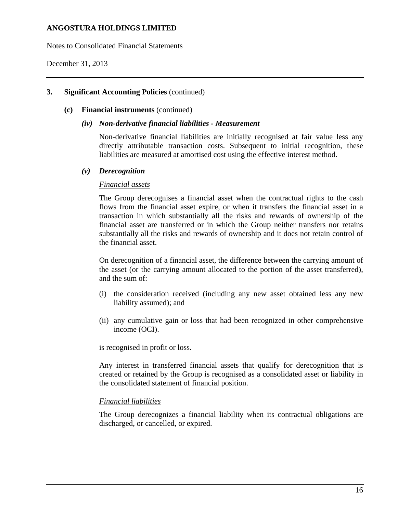Notes to Consolidated Financial Statements

December 31, 2013

### **3. Significant Accounting Policies** (continued)

### **(c) Financial instruments** (continued)

### *(iv) Non-derivative financial liabilities - Measurement*

Non-derivative financial liabilities are initially recognised at fair value less any directly attributable transaction costs. Subsequent to initial recognition, these liabilities are measured at amortised cost using the effective interest method.

### *(v) Derecognition*

### *Financial assets*

 The Group derecognises a financial asset when the contractual rights to the cash flows from the financial asset expire, or when it transfers the financial asset in a transaction in which substantially all the risks and rewards of ownership of the financial asset are transferred or in which the Group neither transfers nor retains substantially all the risks and rewards of ownership and it does not retain control of the financial asset.

 On derecognition of a financial asset, the difference between the carrying amount of the asset (or the carrying amount allocated to the portion of the asset transferred), and the sum of:

- (i) the consideration received (including any new asset obtained less any new liability assumed); and
- (ii) any cumulative gain or loss that had been recognized in other comprehensive income (OCI).

is recognised in profit or loss.

Any interest in transferred financial assets that qualify for derecognition that is created or retained by the Group is recognised as a consolidated asset or liability in the consolidated statement of financial position.

### *Financial liabilities*

The Group derecognizes a financial liability when its contractual obligations are discharged, or cancelled, or expired.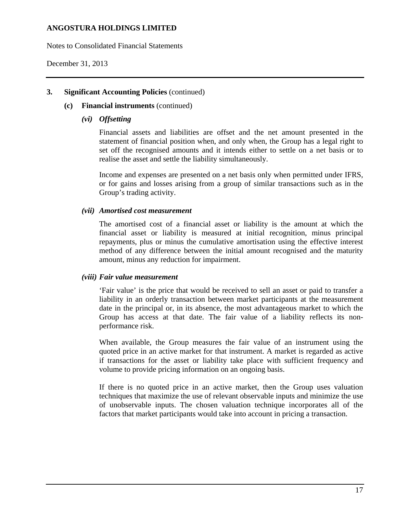Notes to Consolidated Financial Statements

December 31, 2013

### **3. Significant Accounting Policies** (continued)

### **(c) Financial instruments** (continued)

#### *(vi) Offsetting*

 Financial assets and liabilities are offset and the net amount presented in the statement of financial position when, and only when, the Group has a legal right to set off the recognised amounts and it intends either to settle on a net basis or to realise the asset and settle the liability simultaneously.

 Income and expenses are presented on a net basis only when permitted under IFRS, or for gains and losses arising from a group of similar transactions such as in the Group's trading activity.

#### *(vii) Amortised cost measurement*

 The amortised cost of a financial asset or liability is the amount at which the financial asset or liability is measured at initial recognition, minus principal repayments, plus or minus the cumulative amortisation using the effective interest method of any difference between the initial amount recognised and the maturity amount, minus any reduction for impairment.

### *(viii) Fair value measurement*

'Fair value' is the price that would be received to sell an asset or paid to transfer a liability in an orderly transaction between market participants at the measurement date in the principal or, in its absence, the most advantageous market to which the Group has access at that date. The fair value of a liability reflects its nonperformance risk.

When available, the Group measures the fair value of an instrument using the quoted price in an active market for that instrument. A market is regarded as active if transactions for the asset or liability take place with sufficient frequency and volume to provide pricing information on an ongoing basis.

If there is no quoted price in an active market, then the Group uses valuation techniques that maximize the use of relevant observable inputs and minimize the use of unobservable inputs. The chosen valuation technique incorporates all of the factors that market participants would take into account in pricing a transaction.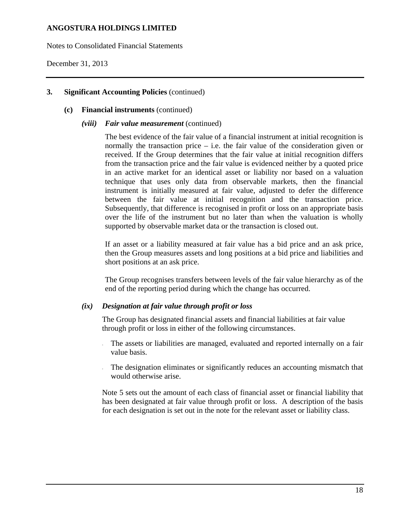Notes to Consolidated Financial Statements

December 31, 2013

### **3. Significant Accounting Policies** (continued)

### **(c) Financial instruments** (continued)

*(viii) Fair value measurement* (continued)

 The best evidence of the fair value of a financial instrument at initial recognition is normally the transaction price – i.e. the fair value of the consideration given or received. If the Group determines that the fair value at initial recognition differs from the transaction price and the fair value is evidenced neither by a quoted price in an active market for an identical asset or liability nor based on a valuation technique that uses only data from observable markets, then the financial instrument is initially measured at fair value, adjusted to defer the difference between the fair value at initial recognition and the transaction price. Subsequently, that difference is recognised in profit or loss on an appropriate basis over the life of the instrument but no later than when the valuation is wholly supported by observable market data or the transaction is closed out.

 If an asset or a liability measured at fair value has a bid price and an ask price, then the Group measures assets and long positions at a bid price and liabilities and short positions at an ask price.

 The Group recognises transfers between levels of the fair value hierarchy as of the end of the reporting period during which the change has occurred.

## *(ix) Designation at fair value through profit or loss*

 The Group has designated financial assets and financial liabilities at fair value through profit or loss in either of the following circumstances.

- The assets or liabilities are managed, evaluated and reported internally on a fair value basis.
- The designation eliminates or significantly reduces an accounting mismatch that would otherwise arise.

 Note 5 sets out the amount of each class of financial asset or financial liability that has been designated at fair value through profit or loss. A description of the basis for each designation is set out in the note for the relevant asset or liability class.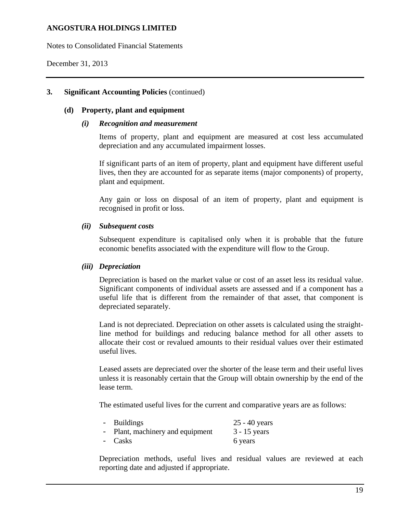Notes to Consolidated Financial Statements

December 31, 2013

### **3. Significant Accounting Policies** (continued)

### **(d) Property, plant and equipment**

#### *(i) Recognition and measurement*

Items of property, plant and equipment are measured at cost less accumulated depreciation and any accumulated impairment losses.

If significant parts of an item of property, plant and equipment have different useful lives, then they are accounted for as separate items (major components) of property, plant and equipment.

Any gain or loss on disposal of an item of property, plant and equipment is recognised in profit or loss.

### *(ii) Subsequent costs*

 Subsequent expenditure is capitalised only when it is probable that the future economic benefits associated with the expenditure will flow to the Group.

### *(iii) Depreciation*

 Depreciation is based on the market value or cost of an asset less its residual value. Significant components of individual assets are assessed and if a component has a useful life that is different from the remainder of that asset, that component is depreciated separately.

 Land is not depreciated. Depreciation on other assets is calculated using the straightline method for buildings and reducing balance method for all other assets to allocate their cost or revalued amounts to their residual values over their estimated useful lives.

 Leased assets are depreciated over the shorter of the lease term and their useful lives unless it is reasonably certain that the Group will obtain ownership by the end of the lease term.

The estimated useful lives for the current and comparative years are as follows:

| - Buildings                      | $25 - 40$ years |
|----------------------------------|-----------------|
| - Plant, machinery and equipment | $3 - 15$ years  |
| - Casks                          | 6 years         |

Depreciation methods, useful lives and residual values are reviewed at each reporting date and adjusted if appropriate.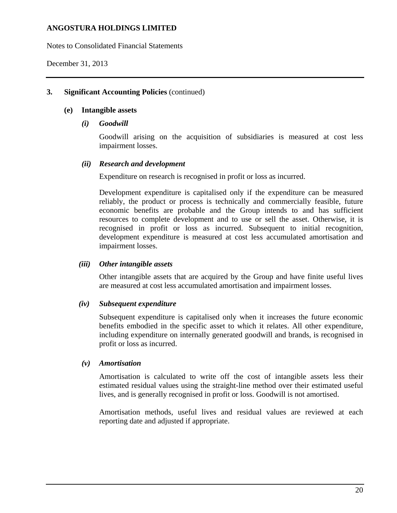Notes to Consolidated Financial Statements

December 31, 2013

### **3. Significant Accounting Policies** (continued)

### **(e) Intangible assets**

 *(i) Goodwill* 

 Goodwill arising on the acquisition of subsidiaries is measured at cost less impairment losses.

### *(ii) Research and development*

Expenditure on research is recognised in profit or loss as incurred.

Development expenditure is capitalised only if the expenditure can be measured reliably, the product or process is technically and commercially feasible, future economic benefits are probable and the Group intends to and has sufficient resources to complete development and to use or sell the asset. Otherwise, it is recognised in profit or loss as incurred. Subsequent to initial recognition, development expenditure is measured at cost less accumulated amortisation and impairment losses.

## *(iii) Other intangible assets*

Other intangible assets that are acquired by the Group and have finite useful lives are measured at cost less accumulated amortisation and impairment losses.

## *(iv) Subsequent expenditure*

Subsequent expenditure is capitalised only when it increases the future economic benefits embodied in the specific asset to which it relates. All other expenditure, including expenditure on internally generated goodwill and brands, is recognised in profit or loss as incurred.

## *(v) Amortisation*

Amortisation is calculated to write off the cost of intangible assets less their estimated residual values using the straight-line method over their estimated useful lives, and is generally recognised in profit or loss. Goodwill is not amortised.

Amortisation methods, useful lives and residual values are reviewed at each reporting date and adjusted if appropriate.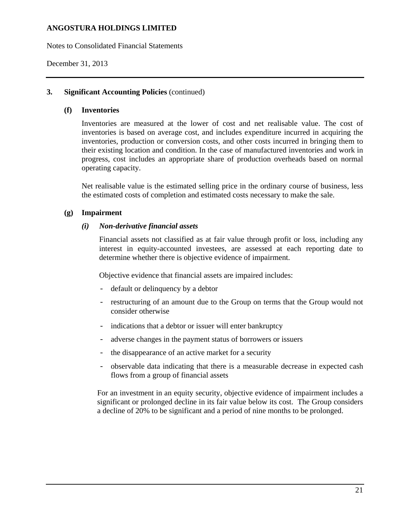Notes to Consolidated Financial Statements

December 31, 2013

### **3. Significant Accounting Policies** (continued)

### **(f) Inventories**

Inventories are measured at the lower of cost and net realisable value. The cost of inventories is based on average cost, and includes expenditure incurred in acquiring the inventories, production or conversion costs, and other costs incurred in bringing them to their existing location and condition. In the case of manufactured inventories and work in progress, cost includes an appropriate share of production overheads based on normal operating capacity.

Net realisable value is the estimated selling price in the ordinary course of business, less the estimated costs of completion and estimated costs necessary to make the sale.

## **(g) Impairment**

### *(i) Non-derivative financial assets*

Financial assets not classified as at fair value through profit or loss, including any interest in equity-accounted investees, are assessed at each reporting date to determine whether there is objective evidence of impairment.

Objective evidence that financial assets are impaired includes:

- default or delinquency by a debtor
- restructuring of an amount due to the Group on terms that the Group would not consider otherwise
- indications that a debtor or issuer will enter bankruptcy
- adverse changes in the payment status of borrowers or issuers
- the disappearance of an active market for a security
- observable data indicating that there is a measurable decrease in expected cash flows from a group of financial assets

For an investment in an equity security, objective evidence of impairment includes a significant or prolonged decline in its fair value below its cost. The Group considers a decline of 20% to be significant and a period of nine months to be prolonged.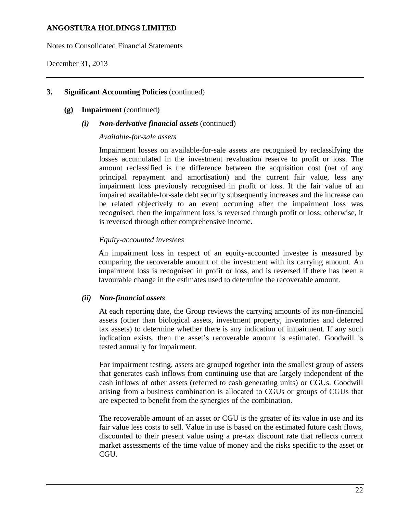Notes to Consolidated Financial Statements

December 31, 2013

#### **3. Significant Accounting Policies** (continued)

#### **(g) Impairment** (continued)

#### *(i) Non-derivative financial assets* (continued)

#### *Available-for-sale assets*

Impairment losses on available-for-sale assets are recognised by reclassifying the losses accumulated in the investment revaluation reserve to profit or loss. The amount reclassified is the difference between the acquisition cost (net of any principal repayment and amortisation) and the current fair value, less any impairment loss previously recognised in profit or loss. If the fair value of an impaired available-for-sale debt security subsequently increases and the increase can be related objectively to an event occurring after the impairment loss was recognised, then the impairment loss is reversed through profit or loss; otherwise, it is reversed through other comprehensive income.

### *Equity-accounted investees*

An impairment loss in respect of an equity-accounted investee is measured by comparing the recoverable amount of the investment with its carrying amount. An impairment loss is recognised in profit or loss, and is reversed if there has been a favourable change in the estimates used to determine the recoverable amount.

### *(ii) Non-financial assets*

At each reporting date, the Group reviews the carrying amounts of its non-financial assets (other than biological assets, investment property, inventories and deferred tax assets) to determine whether there is any indication of impairment. If any such indication exists, then the asset's recoverable amount is estimated. Goodwill is tested annually for impairment.

For impairment testing, assets are grouped together into the smallest group of assets that generates cash inflows from continuing use that are largely independent of the cash inflows of other assets (referred to cash generating units) or CGUs. Goodwill arising from a business combination is allocated to CGUs or groups of CGUs that are expected to benefit from the synergies of the combination.

The recoverable amount of an asset or CGU is the greater of its value in use and its fair value less costs to sell. Value in use is based on the estimated future cash flows, discounted to their present value using a pre-tax discount rate that reflects current market assessments of the time value of money and the risks specific to the asset or CGU.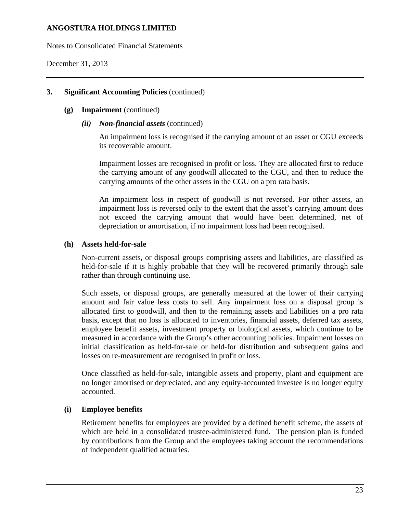Notes to Consolidated Financial Statements

December 31, 2013

### **3. Significant Accounting Policies** (continued)

### **(g) Impairment** (continued)

*(ii) Non-financial assets* (continued)

An impairment loss is recognised if the carrying amount of an asset or CGU exceeds its recoverable amount.

Impairment losses are recognised in profit or loss. They are allocated first to reduce the carrying amount of any goodwill allocated to the CGU, and then to reduce the carrying amounts of the other assets in the CGU on a pro rata basis.

An impairment loss in respect of goodwill is not reversed. For other assets, an impairment loss is reversed only to the extent that the asset's carrying amount does not exceed the carrying amount that would have been determined, net of depreciation or amortisation, if no impairment loss had been recognised.

### **(h) Assets held-for-sale**

Non-current assets, or disposal groups comprising assets and liabilities, are classified as held-for-sale if it is highly probable that they will be recovered primarily through sale rather than through continuing use.

Such assets, or disposal groups, are generally measured at the lower of their carrying amount and fair value less costs to sell. Any impairment loss on a disposal group is allocated first to goodwill, and then to the remaining assets and liabilities on a pro rata basis, except that no loss is allocated to inventories, financial assets, deferred tax assets, employee benefit assets, investment property or biological assets, which continue to be measured in accordance with the Group's other accounting policies. Impairment losses on initial classification as held-for-sale or held-for distribution and subsequent gains and losses on re-measurement are recognised in profit or loss.

Once classified as held-for-sale, intangible assets and property, plant and equipment are no longer amortised or depreciated, and any equity-accounted investee is no longer equity accounted.

## **(i) Employee benefits**

Retirement benefits for employees are provided by a defined benefit scheme, the assets of which are held in a consolidated trustee-administered fund. The pension plan is funded by contributions from the Group and the employees taking account the recommendations of independent qualified actuaries.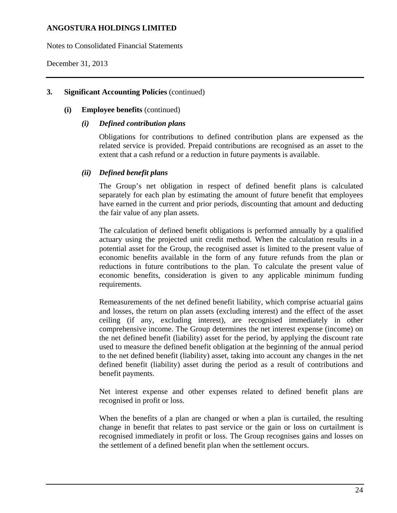Notes to Consolidated Financial Statements

December 31, 2013

### **3. Significant Accounting Policies** (continued)

### **(i) Employee benefits** (continued)

### *(i) Defined contribution plans*

Obligations for contributions to defined contribution plans are expensed as the related service is provided. Prepaid contributions are recognised as an asset to the extent that a cash refund or a reduction in future payments is available.

## *(ii) Defined benefit plans*

The Group's net obligation in respect of defined benefit plans is calculated separately for each plan by estimating the amount of future benefit that employees have earned in the current and prior periods, discounting that amount and deducting the fair value of any plan assets.

The calculation of defined benefit obligations is performed annually by a qualified actuary using the projected unit credit method. When the calculation results in a potential asset for the Group, the recognised asset is limited to the present value of economic benefits available in the form of any future refunds from the plan or reductions in future contributions to the plan. To calculate the present value of economic benefits, consideration is given to any applicable minimum funding requirements.

Remeasurements of the net defined benefit liability, which comprise actuarial gains and losses, the return on plan assets (excluding interest) and the effect of the asset ceiling (if any, excluding interest), are recognised immediately in other comprehensive income. The Group determines the net interest expense (income) on the net defined benefit (liability) asset for the period, by applying the discount rate used to measure the defined benefit obligation at the beginning of the annual period to the net defined benefit (liability) asset, taking into account any changes in the net defined benefit (liability) asset during the period as a result of contributions and benefit payments.

Net interest expense and other expenses related to defined benefit plans are recognised in profit or loss.

When the benefits of a plan are changed or when a plan is curtailed, the resulting change in benefit that relates to past service or the gain or loss on curtailment is recognised immediately in profit or loss. The Group recognises gains and losses on the settlement of a defined benefit plan when the settlement occurs.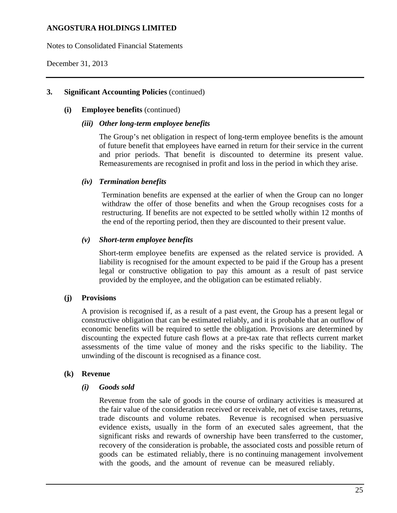Notes to Consolidated Financial Statements

December 31, 2013

### **3. Significant Accounting Policies** (continued)

### **(i) Employee benefits** (continued)

### *(iii) Other long-term employee benefits*

 The Group's net obligation in respect of long-term employee benefits is the amount of future benefit that employees have earned in return for their service in the current and prior periods. That benefit is discounted to determine its present value. Remeasurements are recognised in profit and loss in the period in which they arise.

### *(iv) Termination benefits*

Termination benefits are expensed at the earlier of when the Group can no longer withdraw the offer of those benefits and when the Group recognises costs for a restructuring. If benefits are not expected to be settled wholly within 12 months of the end of the reporting period, then they are discounted to their present value.

## *(v) Short-term employee benefits*

 Short-term employee benefits are expensed as the related service is provided. A liability is recognised for the amount expected to be paid if the Group has a present legal or constructive obligation to pay this amount as a result of past service provided by the employee, and the obligation can be estimated reliably.

## **(j) Provisions**

A provision is recognised if, as a result of a past event, the Group has a present legal or constructive obligation that can be estimated reliably, and it is probable that an outflow of economic benefits will be required to settle the obligation. Provisions are determined by discounting the expected future cash flows at a pre-tax rate that reflects current market assessments of the time value of money and the risks specific to the liability. The unwinding of the discount is recognised as a finance cost.

## **(k) Revenue**

## *(i) Goods sold*

Revenue from the sale of goods in the course of ordinary activities is measured at the fair value of the consideration received or receivable, net of excise taxes, returns, trade discounts and volume rebates. Revenue is recognised when persuasive evidence exists, usually in the form of an executed sales agreement, that the significant risks and rewards of ownership have been transferred to the customer, recovery of the consideration is probable, the associated costs and possible return of goods can be estimated reliably, there is no continuing management involvement with the goods, and the amount of revenue can be measured reliably.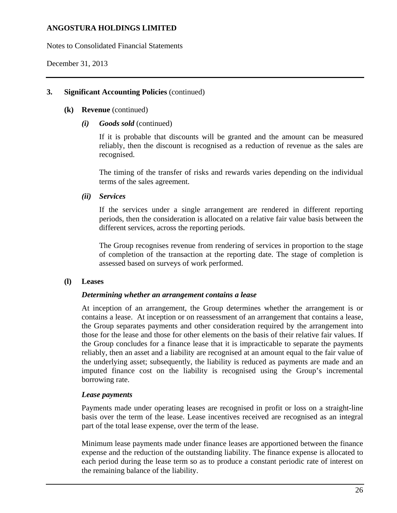Notes to Consolidated Financial Statements

December 31, 2013

### **3. Significant Accounting Policies** (continued)

### **(k) Revenue** (continued)

*(i) Goods sold* (continued)

If it is probable that discounts will be granted and the amount can be measured reliably, then the discount is recognised as a reduction of revenue as the sales are recognised.

The timing of the transfer of risks and rewards varies depending on the individual terms of the sales agreement.

*(ii) Services* 

If the services under a single arrangement are rendered in different reporting periods, then the consideration is allocated on a relative fair value basis between the different services, across the reporting periods.

The Group recognises revenue from rendering of services in proportion to the stage of completion of the transaction at the reporting date. The stage of completion is assessed based on surveys of work performed.

## **(l) Leases**

## *Determining whether an arrangement contains a lease*

At inception of an arrangement, the Group determines whether the arrangement is or contains a lease. At inception or on reassessment of an arrangement that contains a lease, the Group separates payments and other consideration required by the arrangement into those for the lease and those for other elements on the basis of their relative fair values. If the Group concludes for a finance lease that it is impracticable to separate the payments reliably, then an asset and a liability are recognised at an amount equal to the fair value of the underlying asset; subsequently, the liability is reduced as payments are made and an imputed finance cost on the liability is recognised using the Group's incremental borrowing rate.

## *Lease payments*

Payments made under operating leases are recognised in profit or loss on a straight-line basis over the term of the lease. Lease incentives received are recognised as an integral part of the total lease expense, over the term of the lease.

Minimum lease payments made under finance leases are apportioned between the finance expense and the reduction of the outstanding liability. The finance expense is allocated to each period during the lease term so as to produce a constant periodic rate of interest on the remaining balance of the liability.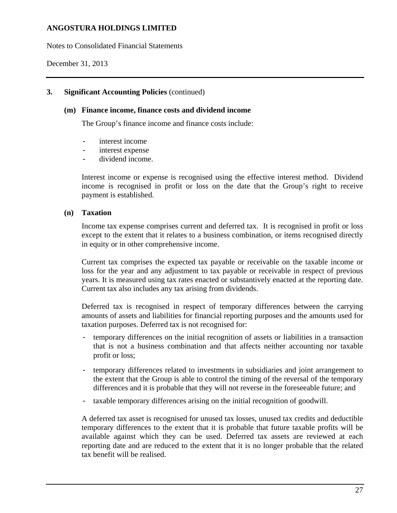Notes to Consolidated Financial Statements

December 31, 2013

### **3. Significant Accounting Policies** (continued)

#### **(m) Finance income, finance costs and dividend income**

The Group's finance income and finance costs include:

- interest income
- interest expense
- dividend income.

Interest income or expense is recognised using the effective interest method. Dividend income is recognised in profit or loss on the date that the Group's right to receive payment is established.

### **(n) Taxation**

Income tax expense comprises current and deferred tax. It is recognised in profit or loss except to the extent that it relates to a business combination, or items recognised directly in equity or in other comprehensive income.

Current tax comprises the expected tax payable or receivable on the taxable income or loss for the year and any adjustment to tax payable or receivable in respect of previous years. It is measured using tax rates enacted or substantively enacted at the reporting date. Current tax also includes any tax arising from dividends.

Deferred tax is recognised in respect of temporary differences between the carrying amounts of assets and liabilities for financial reporting purposes and the amounts used for taxation purposes. Deferred tax is not recognised for:

- temporary differences on the initial recognition of assets or liabilities in a transaction that is not a business combination and that affects neither accounting nor taxable profit or loss;
- temporary differences related to investments in subsidiaries and joint arrangement to the extent that the Group is able to control the timing of the reversal of the temporary differences and it is probable that they will not reverse in the foreseeable future; and
- taxable temporary differences arising on the initial recognition of goodwill.

A deferred tax asset is recognised for unused tax losses, unused tax credits and deductible temporary differences to the extent that it is probable that future taxable profits will be available against which they can be used. Deferred tax assets are reviewed at each reporting date and are reduced to the extent that it is no longer probable that the related tax benefit will be realised.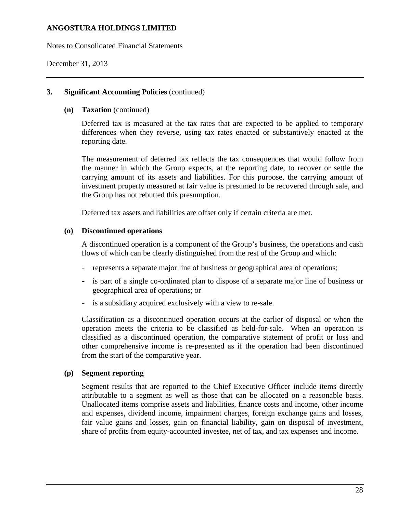Notes to Consolidated Financial Statements

December 31, 2013

### **3. Significant Accounting Policies** (continued)

### **(n) Taxation** (continued)

Deferred tax is measured at the tax rates that are expected to be applied to temporary differences when they reverse, using tax rates enacted or substantively enacted at the reporting date.

The measurement of deferred tax reflects the tax consequences that would follow from the manner in which the Group expects, at the reporting date, to recover or settle the carrying amount of its assets and liabilities. For this purpose, the carrying amount of investment property measured at fair value is presumed to be recovered through sale, and the Group has not rebutted this presumption.

Deferred tax assets and liabilities are offset only if certain criteria are met.

## **(o) Discontinued operations**

A discontinued operation is a component of the Group's business, the operations and cash flows of which can be clearly distinguished from the rest of the Group and which:

- represents a separate major line of business or geographical area of operations;
- is part of a single co-ordinated plan to dispose of a separate major line of business or geographical area of operations; or
- is a subsidiary acquired exclusively with a view to re-sale.

Classification as a discontinued operation occurs at the earlier of disposal or when the operation meets the criteria to be classified as held-for-sale. When an operation is classified as a discontinued operation, the comparative statement of profit or loss and other comprehensive income is re-presented as if the operation had been discontinued from the start of the comparative year.

## **(p) Segment reporting**

Segment results that are reported to the Chief Executive Officer include items directly attributable to a segment as well as those that can be allocated on a reasonable basis. Unallocated items comprise assets and liabilities, finance costs and income, other income and expenses, dividend income, impairment charges, foreign exchange gains and losses, fair value gains and losses, gain on financial liability, gain on disposal of investment, share of profits from equity-accounted investee, net of tax, and tax expenses and income.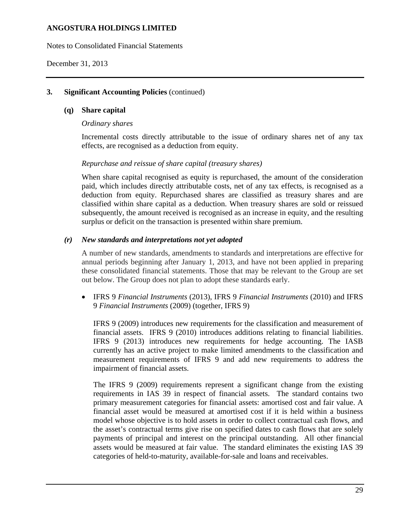Notes to Consolidated Financial Statements

December 31, 2013

## **3. Significant Accounting Policies** (continued)

## **(q) Share capital**

### *Ordinary shares*

Incremental costs directly attributable to the issue of ordinary shares net of any tax effects, are recognised as a deduction from equity.

## *Repurchase and reissue of share capital (treasury shares)*

When share capital recognised as equity is repurchased, the amount of the consideration paid, which includes directly attributable costs, net of any tax effects, is recognised as a deduction from equity. Repurchased shares are classified as treasury shares and are classified within share capital as a deduction. When treasury shares are sold or reissued subsequently, the amount received is recognised as an increase in equity, and the resulting surplus or deficit on the transaction is presented within share premium.

### *(r) New standards and interpretations not yet adopted*

A number of new standards, amendments to standards and interpretations are effective for annual periods beginning after January 1, 2013, and have not been applied in preparing these consolidated financial statements. Those that may be relevant to the Group are set out below. The Group does not plan to adopt these standards early.

 IFRS 9 *Financial Instruments* (2013), IFRS 9 *Financial Instruments* (2010) and IFRS 9 *Financial Instruments* (2009) (together, IFRS 9)

IFRS 9 (2009) introduces new requirements for the classification and measurement of financial assets. IFRS 9 (2010) introduces additions relating to financial liabilities. IFRS 9 (2013) introduces new requirements for hedge accounting. The IASB currently has an active project to make limited amendments to the classification and measurement requirements of IFRS 9 and add new requirements to address the impairment of financial assets.

The IFRS 9 (2009) requirements represent a significant change from the existing requirements in IAS 39 in respect of financial assets. The standard contains two primary measurement categories for financial assets: amortised cost and fair value. A financial asset would be measured at amortised cost if it is held within a business model whose objective is to hold assets in order to collect contractual cash flows, and the asset's contractual terms give rise on specified dates to cash flows that are solely payments of principal and interest on the principal outstanding. All other financial assets would be measured at fair value. The standard eliminates the existing IAS 39 categories of held-to-maturity, available-for-sale and loans and receivables.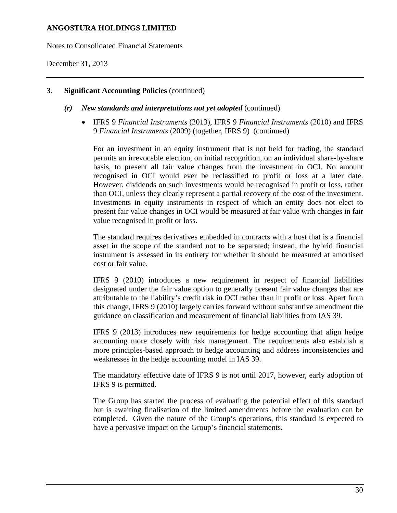Notes to Consolidated Financial Statements

December 31, 2013

## **3. Significant Accounting Policies** (continued)

- *(r) New standards and interpretations not yet adopted* (continued)
	- IFRS 9 *Financial Instruments* (2013), IFRS 9 *Financial Instruments* (2010) and IFRS 9 *Financial Instruments* (2009) (together, IFRS 9) (continued)

For an investment in an equity instrument that is not held for trading, the standard permits an irrevocable election, on initial recognition, on an individual share-by-share basis, to present all fair value changes from the investment in OCI. No amount recognised in OCI would ever be reclassified to profit or loss at a later date. However, dividends on such investments would be recognised in profit or loss, rather than OCI, unless they clearly represent a partial recovery of the cost of the investment. Investments in equity instruments in respect of which an entity does not elect to present fair value changes in OCI would be measured at fair value with changes in fair value recognised in profit or loss.

The standard requires derivatives embedded in contracts with a host that is a financial asset in the scope of the standard not to be separated; instead, the hybrid financial instrument is assessed in its entirety for whether it should be measured at amortised cost or fair value.

IFRS 9 (2010) introduces a new requirement in respect of financial liabilities designated under the fair value option to generally present fair value changes that are attributable to the liability's credit risk in OCI rather than in profit or loss. Apart from this change, IFRS 9 (2010) largely carries forward without substantive amendment the guidance on classification and measurement of financial liabilities from IAS 39.

IFRS 9 (2013) introduces new requirements for hedge accounting that align hedge accounting more closely with risk management. The requirements also establish a more principles-based approach to hedge accounting and address inconsistencies and weaknesses in the hedge accounting model in IAS 39.

The mandatory effective date of IFRS 9 is not until 2017, however, early adoption of IFRS 9 is permitted.

The Group has started the process of evaluating the potential effect of this standard but is awaiting finalisation of the limited amendments before the evaluation can be completed. Given the nature of the Group's operations, this standard is expected to have a pervasive impact on the Group's financial statements.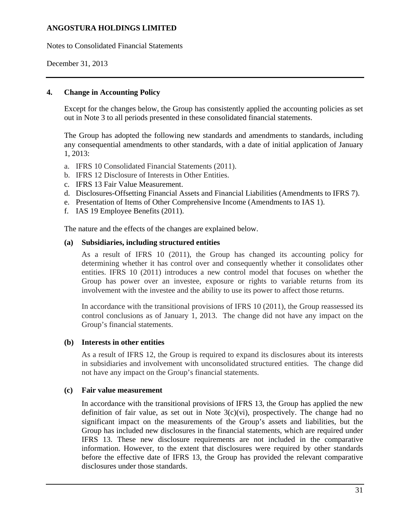Notes to Consolidated Financial Statements

December 31, 2013

### **4. Change in Accounting Policy**

Except for the changes below, the Group has consistently applied the accounting policies as set out in Note 3 to all periods presented in these consolidated financial statements.

The Group has adopted the following new standards and amendments to standards, including any consequential amendments to other standards, with a date of initial application of January 1, 2013:

- a. IFRS 10 Consolidated Financial Statements (2011).
- b. IFRS 12 Disclosure of Interests in Other Entities.
- c. IFRS 13 Fair Value Measurement.
- d. Disclosures-Offsetting Financial Assets and Financial Liabilities (Amendments to IFRS 7).
- e. Presentation of Items of Other Comprehensive Income (Amendments to IAS 1).
- f. IAS 19 Employee Benefits (2011).

The nature and the effects of the changes are explained below.

### **(a) Subsidiaries, including structured entities**

As a result of IFRS 10 (2011), the Group has changed its accounting policy for determining whether it has control over and consequently whether it consolidates other entities. IFRS 10 (2011) introduces a new control model that focuses on whether the Group has power over an investee, exposure or rights to variable returns from its involvement with the investee and the ability to use its power to affect those returns.

In accordance with the transitional provisions of IFRS 10 (2011), the Group reassessed its control conclusions as of January 1, 2013. The change did not have any impact on the Group's financial statements.

## **(b) Interests in other entities**

As a result of IFRS 12, the Group is required to expand its disclosures about its interests in subsidiaries and involvement with unconsolidated structured entities. The change did not have any impact on the Group's financial statements.

## **(c) Fair value measurement**

In accordance with the transitional provisions of IFRS 13, the Group has applied the new definition of fair value, as set out in Note  $3(c)(vi)$ , prospectively. The change had no significant impact on the measurements of the Group's assets and liabilities, but the Group has included new disclosures in the financial statements, which are required under IFRS 13. These new disclosure requirements are not included in the comparative information. However, to the extent that disclosures were required by other standards before the effective date of IFRS 13, the Group has provided the relevant comparative disclosures under those standards.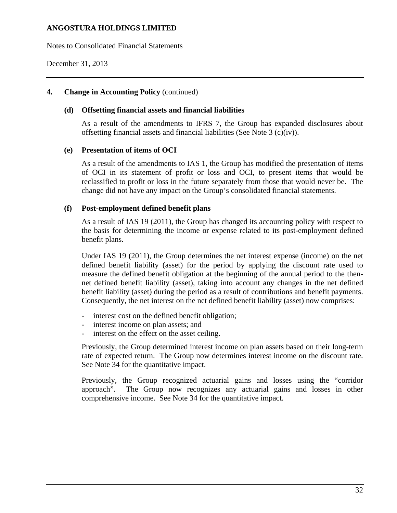Notes to Consolidated Financial Statements

December 31, 2013

### **4. Change in Accounting Policy** (continued)

#### **(d) Offsetting financial assets and financial liabilities**

 As a result of the amendments to IFRS 7, the Group has expanded disclosures about offsetting financial assets and financial liabilities (See Note 3 (c)(iv)).

### **(e) Presentation of items of OCI**

 As a result of the amendments to IAS 1, the Group has modified the presentation of items of OCI in its statement of profit or loss and OCI, to present items that would be reclassified to profit or loss in the future separately from those that would never be. The change did not have any impact on the Group's consolidated financial statements.

### **(f) Post-employment defined benefit plans**

 As a result of IAS 19 (2011), the Group has changed its accounting policy with respect to the basis for determining the income or expense related to its post-employment defined benefit plans.

 Under IAS 19 (2011), the Group determines the net interest expense (income) on the net defined benefit liability (asset) for the period by applying the discount rate used to measure the defined benefit obligation at the beginning of the annual period to the thennet defined benefit liability (asset), taking into account any changes in the net defined benefit liability (asset) during the period as a result of contributions and benefit payments. Consequently, the net interest on the net defined benefit liability (asset) now comprises:

- interest cost on the defined benefit obligation;
- interest income on plan assets; and
- interest on the effect on the asset ceiling.

Previously, the Group determined interest income on plan assets based on their long-term rate of expected return. The Group now determines interest income on the discount rate. See Note 34 for the quantitative impact.

Previously, the Group recognized actuarial gains and losses using the "corridor approach". The Group now recognizes any actuarial gains and losses in other comprehensive income. See Note 34 for the quantitative impact.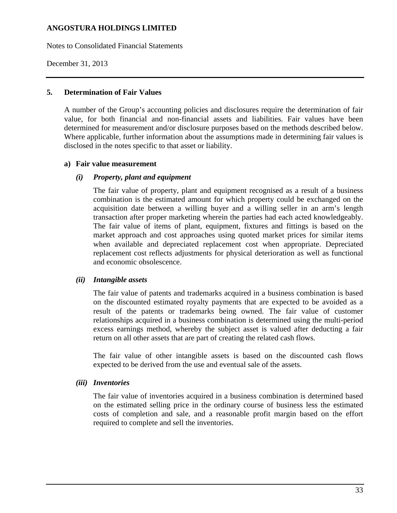Notes to Consolidated Financial Statements

December 31, 2013

#### **5. Determination of Fair Values**

A number of the Group's accounting policies and disclosures require the determination of fair value, for both financial and non-financial assets and liabilities. Fair values have been determined for measurement and/or disclosure purposes based on the methods described below. Where applicable, further information about the assumptions made in determining fair values is disclosed in the notes specific to that asset or liability.

#### **a) Fair value measurement**

#### *(i) Property, plant and equipment*

The fair value of property, plant and equipment recognised as a result of a business combination is the estimated amount for which property could be exchanged on the acquisition date between a willing buyer and a willing seller in an arm's length transaction after proper marketing wherein the parties had each acted knowledgeably. The fair value of items of plant, equipment, fixtures and fittings is based on the market approach and cost approaches using quoted market prices for similar items when available and depreciated replacement cost when appropriate. Depreciated replacement cost reflects adjustments for physical deterioration as well as functional and economic obsolescence.

### *(ii) Intangible assets*

 The fair value of patents and trademarks acquired in a business combination is based on the discounted estimated royalty payments that are expected to be avoided as a result of the patents or trademarks being owned. The fair value of customer relationships acquired in a business combination is determined using the multi-period excess earnings method, whereby the subject asset is valued after deducting a fair return on all other assets that are part of creating the related cash flows.

The fair value of other intangible assets is based on the discounted cash flows expected to be derived from the use and eventual sale of the assets.

### *(iii) Inventories*

 The fair value of inventories acquired in a business combination is determined based on the estimated selling price in the ordinary course of business less the estimated costs of completion and sale, and a reasonable profit margin based on the effort required to complete and sell the inventories.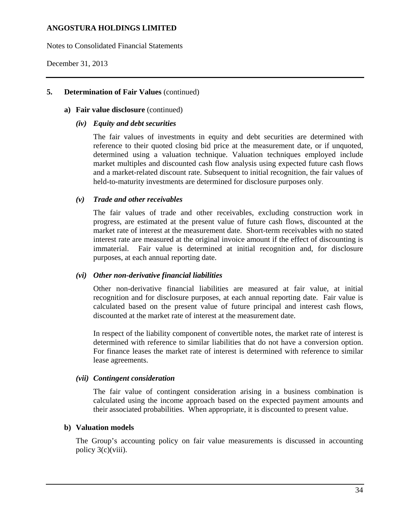Notes to Consolidated Financial Statements

December 31, 2013

### **5. Determination of Fair Values** (continued)

### **a) Fair value disclosure** (continued)

### *(iv) Equity and debt securities*

The fair values of investments in equity and debt securities are determined with reference to their quoted closing bid price at the measurement date, or if unquoted, determined using a valuation technique. Valuation techniques employed include market multiples and discounted cash flow analysis using expected future cash flows and a market-related discount rate. Subsequent to initial recognition, the fair values of held-to-maturity investments are determined for disclosure purposes only.

## *(v) Trade and other receivables*

 The fair values of trade and other receivables, excluding construction work in progress, are estimated at the present value of future cash flows, discounted at the market rate of interest at the measurement date. Short-term receivables with no stated interest rate are measured at the original invoice amount if the effect of discounting is immaterial. Fair value is determined at initial recognition and, for disclosure purposes, at each annual reporting date.

## *(vi) Other non-derivative financial liabilities*

 Other non-derivative financial liabilities are measured at fair value, at initial recognition and for disclosure purposes, at each annual reporting date. Fair value is calculated based on the present value of future principal and interest cash flows, discounted at the market rate of interest at the measurement date.

In respect of the liability component of convertible notes, the market rate of interest is determined with reference to similar liabilities that do not have a conversion option. For finance leases the market rate of interest is determined with reference to similar lease agreements.

## *(vii) Contingent consideration*

The fair value of contingent consideration arising in a business combination is calculated using the income approach based on the expected payment amounts and their associated probabilities. When appropriate, it is discounted to present value.

## **b) Valuation models**

The Group's accounting policy on fair value measurements is discussed in accounting policy 3(c)(viii).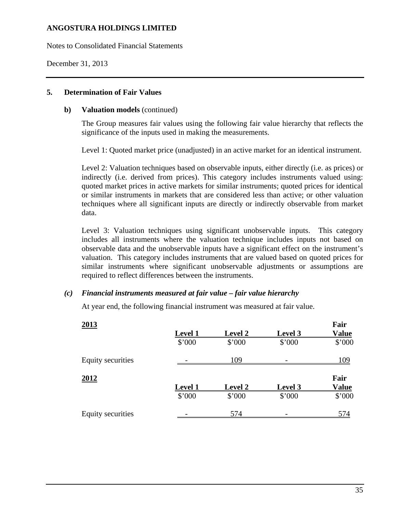Notes to Consolidated Financial Statements

December 31, 2013

### **5. Determination of Fair Values**

### **b) Valuation models** (continued)

The Group measures fair values using the following fair value hierarchy that reflects the significance of the inputs used in making the measurements.

Level 1: Quoted market price (unadjusted) in an active market for an identical instrument.

Level 2: Valuation techniques based on observable inputs, either directly (i.e. as prices) or indirectly (i.e. derived from prices). This category includes instruments valued using: quoted market prices in active markets for similar instruments; quoted prices for identical or similar instruments in markets that are considered less than active; or other valuation techniques where all significant inputs are directly or indirectly observable from market data.

Level 3: Valuation techniques using significant unobservable inputs. This category includes all instruments where the valuation technique includes inputs not based on observable data and the unobservable inputs have a significant effect on the instrument's valuation. This category includes instruments that are valued based on quoted prices for similar instruments where significant unobservable adjustments or assumptions are required to reflect differences between the instruments.

## *(c) Financial instruments measured at fair value – fair value hierarchy*

At year end, the following financial instrument was measured at fair value.

| 2013                     | Level 1        | <b>Level 2</b> | <b>Level 3</b> | Fair<br><b>Value</b> |
|--------------------------|----------------|----------------|----------------|----------------------|
|                          | \$'000         | \$'000         | \$'000         | \$'000               |
| <b>Equity securities</b> |                | 109            |                | 109                  |
| 2012                     | <b>Level 1</b> | <b>Level 2</b> | Level 3        | Fair<br><b>Value</b> |
|                          | \$'000         | \$'000         | \$'000         | \$'000               |
| <b>Equity securities</b> |                | 574            |                | 574                  |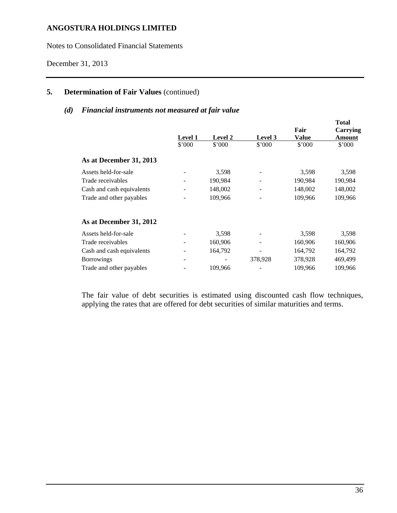Notes to Consolidated Financial Statements

December 31, 2013

## **5. Determination of Fair Values** (continued)

### *(d) Financial instruments not measured at fair value*

|                           | <b>Level 1</b> | Level 2 | Level 3                  | Fair<br>Value | <b>Total</b><br>Carrying<br>Amount |
|---------------------------|----------------|---------|--------------------------|---------------|------------------------------------|
|                           | \$'000         | \$'000  | \$'000                   | \$'000        | $$^{\circ}000$                     |
| As at December 31, 2013   |                |         |                          |               |                                    |
| Assets held-for-sale      |                | 3,598   | ٠                        | 3,598         | 3,598                              |
| Trade receivables         |                | 190,984 | $\overline{\phantom{a}}$ | 190,984       | 190,984                            |
| Cash and cash equivalents |                | 148,002 | $\overline{\phantom{a}}$ | 148,002       | 148,002                            |
| Trade and other payables  |                | 109,966 | $\overline{\phantom{0}}$ | 109,966       | 109,966                            |
| As at December 31, 2012   |                |         |                          |               |                                    |
| Assets held-for-sale      |                | 3,598   | $\overline{\phantom{a}}$ | 3,598         | 3,598                              |
| Trade receivables         |                | 160,906 |                          | 160,906       | 160,906                            |
| Cash and cash equivalents |                | 164,792 | $\blacksquare$           | 164,792       | 164,792                            |
| <b>Borrowings</b>         |                |         | 378,928                  | 378,928       | 469,499                            |
| Trade and other payables  |                | 109,966 | ۰                        | 109,966       | 109,966                            |
|                           |                |         |                          |               |                                    |

The fair value of debt securities is estimated using discounted cash flow techniques, applying the rates that are offered for debt securities of similar maturities and terms.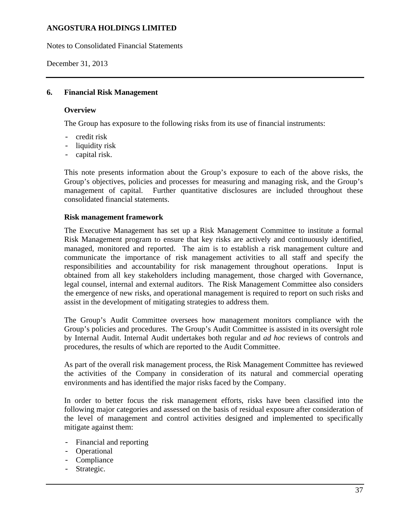Notes to Consolidated Financial Statements

December 31, 2013

### **6. Financial Risk Management**

### **Overview**

The Group has exposure to the following risks from its use of financial instruments:

- credit risk
- liquidity risk
- capital risk.

This note presents information about the Group's exposure to each of the above risks, the Group's objectives, policies and processes for measuring and managing risk, and the Group's management of capital. Further quantitative disclosures are included throughout these consolidated financial statements.

### **Risk management framework**

The Executive Management has set up a Risk Management Committee to institute a formal Risk Management program to ensure that key risks are actively and continuously identified, managed, monitored and reported. The aim is to establish a risk management culture and communicate the importance of risk management activities to all staff and specify the responsibilities and accountability for risk management throughout operations. Input is obtained from all key stakeholders including management, those charged with Governance, legal counsel, internal and external auditors. The Risk Management Committee also considers the emergence of new risks, and operational management is required to report on such risks and assist in the development of mitigating strategies to address them.

The Group's Audit Committee oversees how management monitors compliance with the Group's policies and procedures. The Group's Audit Committee is assisted in its oversight role by Internal Audit. Internal Audit undertakes both regular and *ad hoc* reviews of controls and procedures, the results of which are reported to the Audit Committee.

As part of the overall risk management process, the Risk Management Committee has reviewed the activities of the Company in consideration of its natural and commercial operating environments and has identified the major risks faced by the Company.

In order to better focus the risk management efforts, risks have been classified into the following major categories and assessed on the basis of residual exposure after consideration of the level of management and control activities designed and implemented to specifically mitigate against them:

- Financial and reporting
- Operational
- Compliance
- Strategic.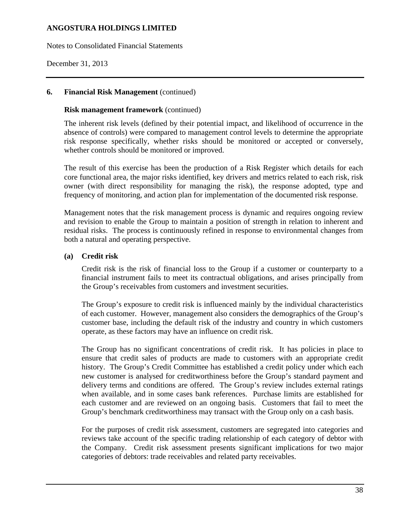Notes to Consolidated Financial Statements

December 31, 2013

### **6. Financial Risk Management** (continued)

### **Risk management framework** (continued)

 The inherent risk levels (defined by their potential impact, and likelihood of occurrence in the absence of controls) were compared to management control levels to determine the appropriate risk response specifically, whether risks should be monitored or accepted or conversely, whether controls should be monitored or improved.

 The result of this exercise has been the production of a Risk Register which details for each core functional area, the major risks identified, key drivers and metrics related to each risk, risk owner (with direct responsibility for managing the risk), the response adopted, type and frequency of monitoring, and action plan for implementation of the documented risk response.

 Management notes that the risk management process is dynamic and requires ongoing review and revision to enable the Group to maintain a position of strength in relation to inherent and residual risks. The process is continuously refined in response to environmental changes from both a natural and operating perspective.

## **(a) Credit risk**

Credit risk is the risk of financial loss to the Group if a customer or counterparty to a financial instrument fails to meet its contractual obligations, and arises principally from the Group's receivables from customers and investment securities.

The Group's exposure to credit risk is influenced mainly by the individual characteristics of each customer. However, management also considers the demographics of the Group's customer base, including the default risk of the industry and country in which customers operate, as these factors may have an influence on credit risk.

The Group has no significant concentrations of credit risk. It has policies in place to ensure that credit sales of products are made to customers with an appropriate credit history. The Group's Credit Committee has established a credit policy under which each new customer is analysed for creditworthiness before the Group's standard payment and delivery terms and conditions are offered. The Group's review includes external ratings when available, and in some cases bank references. Purchase limits are established for each customer and are reviewed on an ongoing basis. Customers that fail to meet the Group's benchmark creditworthiness may transact with the Group only on a cash basis.

For the purposes of credit risk assessment, customers are segregated into categories and reviews take account of the specific trading relationship of each category of debtor with the Company. Credit risk assessment presents significant implications for two major categories of debtors: trade receivables and related party receivables.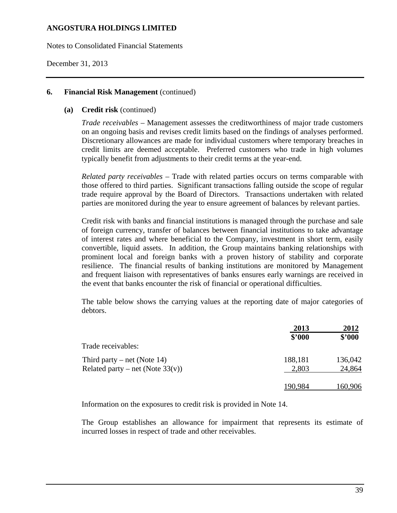Notes to Consolidated Financial Statements

December 31, 2013

### **6. Financial Risk Management** (continued)

### **(a) Credit risk** (continued)

*Trade receivables* – Management assesses the creditworthiness of major trade customers on an ongoing basis and revises credit limits based on the findings of analyses performed. Discretionary allowances are made for individual customers where temporary breaches in credit limits are deemed acceptable. Preferred customers who trade in high volumes typically benefit from adjustments to their credit terms at the year-end.

*Related party receivables* – Trade with related parties occurs on terms comparable with those offered to third parties. Significant transactions falling outside the scope of regular trade require approval by the Board of Directors. Transactions undertaken with related parties are monitored during the year to ensure agreement of balances by relevant parties.

Credit risk with banks and financial institutions is managed through the purchase and sale of foreign currency, transfer of balances between financial institutions to take advantage of interest rates and where beneficial to the Company, investment in short term, easily convertible, liquid assets. In addition, the Group maintains banking relationships with prominent local and foreign banks with a proven history of stability and corporate resilience. The financial results of banking institutions are monitored by Management and frequent liaison with representatives of banks ensures early warnings are received in the event that banks encounter the risk of financial or operational difficulties.

The table below shows the carrying values at the reporting date of major categories of debtors.

|                                     | 2013    | 2012    |
|-------------------------------------|---------|---------|
|                                     | \$3000  | \$2000  |
| Trade receivables:                  |         |         |
| Third party – net (Note 14)         | 188,181 | 136,042 |
| Related party – net (Note $33(v)$ ) | 2,803   | 24,864  |
|                                     | 190,984 | 160,906 |

Information on the exposures to credit risk is provided in Note 14.

The Group establishes an allowance for impairment that represents its estimate of incurred losses in respect of trade and other receivables.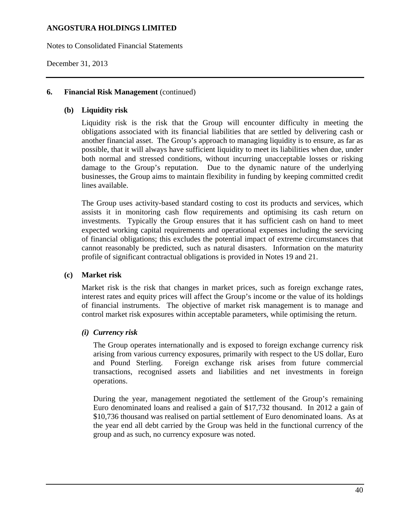Notes to Consolidated Financial Statements

December 31, 2013

### **6. Financial Risk Management** (continued)

### **(b) Liquidity risk**

Liquidity risk is the risk that the Group will encounter difficulty in meeting the obligations associated with its financial liabilities that are settled by delivering cash or another financial asset. The Group's approach to managing liquidity is to ensure, as far as possible, that it will always have sufficient liquidity to meet its liabilities when due, under both normal and stressed conditions, without incurring unacceptable losses or risking damage to the Group's reputation. Due to the dynamic nature of the underlying businesses, the Group aims to maintain flexibility in funding by keeping committed credit lines available.

The Group uses activity-based standard costing to cost its products and services, which assists it in monitoring cash flow requirements and optimising its cash return on investments. Typically the Group ensures that it has sufficient cash on hand to meet expected working capital requirements and operational expenses including the servicing of financial obligations; this excludes the potential impact of extreme circumstances that cannot reasonably be predicted, such as natural disasters. Information on the maturity profile of significant contractual obligations is provided in Notes 19 and 21.

## **(c) Market risk**

Market risk is the risk that changes in market prices, such as foreign exchange rates, interest rates and equity prices will affect the Group's income or the value of its holdings of financial instruments. The objective of market risk management is to manage and control market risk exposures within acceptable parameters, while optimising the return.

## *(i) Currency risk*

 The Group operates internationally and is exposed to foreign exchange currency risk arising from various currency exposures, primarily with respect to the US dollar, Euro and Pound Sterling. Foreign exchange risk arises from future commercial transactions, recognised assets and liabilities and net investments in foreign operations.

During the year, management negotiated the settlement of the Group's remaining Euro denominated loans and realised a gain of \$17,732 thousand. In 2012 a gain of \$10,736 thousand was realised on partial settlement of Euro denominated loans. As at the year end all debt carried by the Group was held in the functional currency of the group and as such, no currency exposure was noted.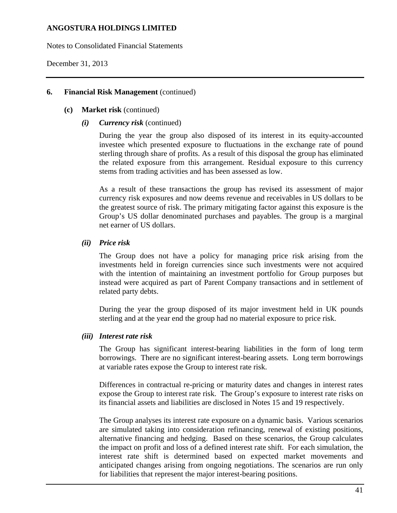Notes to Consolidated Financial Statements

December 31, 2013

#### **6. Financial Risk Management** (continued)

#### **(c) Market risk** (continued)

*(i) Currency risk* (continued)

During the year the group also disposed of its interest in its equity-accounted investee which presented exposure to fluctuations in the exchange rate of pound sterling through share of profits. As a result of this disposal the group has eliminated the related exposure from this arrangement. Residual exposure to this currency stems from trading activities and has been assessed as low.

As a result of these transactions the group has revised its assessment of major currency risk exposures and now deems revenue and receivables in US dollars to be the greatest source of risk. The primary mitigating factor against this exposure is the Group's US dollar denominated purchases and payables. The group is a marginal net earner of US dollars.

#### *(ii) Price risk*

The Group does not have a policy for managing price risk arising from the investments held in foreign currencies since such investments were not acquired with the intention of maintaining an investment portfolio for Group purposes but instead were acquired as part of Parent Company transactions and in settlement of related party debts.

During the year the group disposed of its major investment held in UK pounds sterling and at the year end the group had no material exposure to price risk.

#### *(iii) Interest rate risk*

The Group has significant interest-bearing liabilities in the form of long term borrowings. There are no significant interest-bearing assets. Long term borrowings at variable rates expose the Group to interest rate risk.

Differences in contractual re-pricing or maturity dates and changes in interest rates expose the Group to interest rate risk. The Group's exposure to interest rate risks on its financial assets and liabilities are disclosed in Notes 15 and 19 respectively.

The Group analyses its interest rate exposure on a dynamic basis. Various scenarios are simulated taking into consideration refinancing, renewal of existing positions, alternative financing and hedging. Based on these scenarios, the Group calculates the impact on profit and loss of a defined interest rate shift. For each simulation, the interest rate shift is determined based on expected market movements and anticipated changes arising from ongoing negotiations. The scenarios are run only for liabilities that represent the major interest-bearing positions.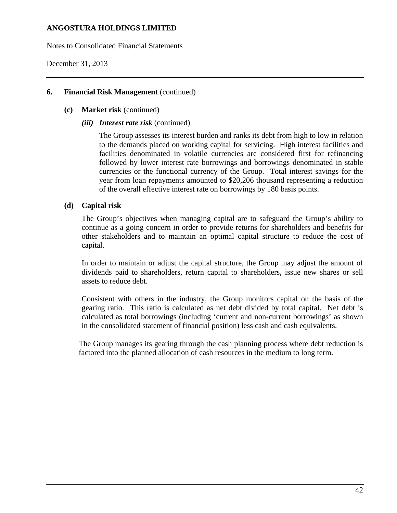Notes to Consolidated Financial Statements

December 31, 2013

### **6. Financial Risk Management** (continued)

- **(c) Market risk** (continued)
	- *(iii) Interest rate risk* (continued)

The Group assesses its interest burden and ranks its debt from high to low in relation to the demands placed on working capital for servicing. High interest facilities and facilities denominated in volatile currencies are considered first for refinancing followed by lower interest rate borrowings and borrowings denominated in stable currencies or the functional currency of the Group. Total interest savings for the year from loan repayments amounted to \$20,206 thousand representing a reduction of the overall effective interest rate on borrowings by 180 basis points.

## **(d) Capital risk**

The Group's objectives when managing capital are to safeguard the Group's ability to continue as a going concern in order to provide returns for shareholders and benefits for other stakeholders and to maintain an optimal capital structure to reduce the cost of capital.

In order to maintain or adjust the capital structure, the Group may adjust the amount of dividends paid to shareholders, return capital to shareholders, issue new shares or sell assets to reduce debt.

Consistent with others in the industry, the Group monitors capital on the basis of the gearing ratio. This ratio is calculated as net debt divided by total capital. Net debt is calculated as total borrowings (including 'current and non-current borrowings' as shown in the consolidated statement of financial position) less cash and cash equivalents.

The Group manages its gearing through the cash planning process where debt reduction is factored into the planned allocation of cash resources in the medium to long term.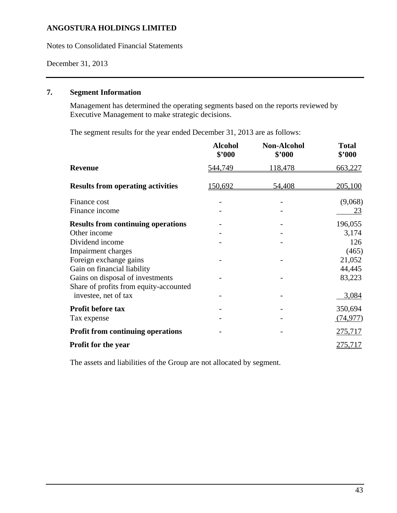Notes to Consolidated Financial Statements

December 31, 2013

### **7. Segment Information**

Management has determined the operating segments based on the reports reviewed by Executive Management to make strategic decisions.

The segment results for the year ended December 31, 2013 are as follows:

|                                           | <b>Alcohol</b><br>\$2000 | <b>Non-Alcohol</b><br>\$'000 | <b>Total</b><br>\$'000 |
|-------------------------------------------|--------------------------|------------------------------|------------------------|
| <b>Revenue</b>                            | 544,749                  | 118,478                      | 663,227                |
| <b>Results from operating activities</b>  | 150,692                  | 54,408                       | 205,100                |
| Finance cost                              |                          |                              | (9,068)                |
| Finance income                            |                          |                              | 23                     |
| <b>Results from continuing operations</b> |                          |                              | 196,055                |
| Other income                              |                          |                              | 3,174                  |
| Dividend income                           |                          |                              | 126                    |
| Impairment charges                        |                          |                              | (465)                  |
| Foreign exchange gains                    |                          |                              | 21,052                 |
| Gain on financial liability               |                          |                              | 44,445                 |
| Gains on disposal of investments          |                          |                              | 83,223                 |
| Share of profits from equity-accounted    |                          |                              |                        |
| investee, net of tax                      |                          |                              | 3,084                  |
| Profit before tax                         |                          |                              | 350,694                |
| Tax expense                               |                          |                              | (74, 977)              |
| <b>Profit from continuing operations</b>  |                          |                              | 275,717                |
| Profit for the year                       |                          |                              | 275,717                |
|                                           |                          |                              |                        |

The assets and liabilities of the Group are not allocated by segment.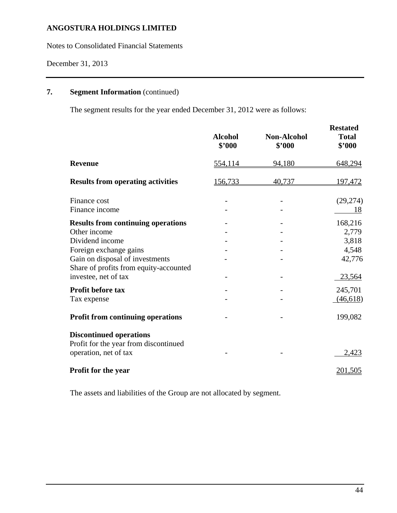Notes to Consolidated Financial Statements

December 31, 2013

# **7.** Segment Information (continued)

The segment results for the year ended December 31, 2012 were as follows:

|                                                                           | \$'000  | <b>Non-Alcohol</b><br>\$'000 | <b>Total</b><br>\$'000 |
|---------------------------------------------------------------------------|---------|------------------------------|------------------------|
| <b>Revenue</b>                                                            | 554,114 | 94,180                       | 648,294                |
| <b>Results from operating activities</b>                                  | 156,733 | 40,737                       | 197,472                |
| Finance cost                                                              |         |                              | (29, 274)              |
| Finance income                                                            |         |                              | 18                     |
| <b>Results from continuing operations</b>                                 |         |                              | 168,216                |
| Other income                                                              |         |                              | 2,779                  |
| Dividend income                                                           |         |                              | 3,818                  |
| Foreign exchange gains                                                    |         |                              | 4,548                  |
| Gain on disposal of investments<br>Share of profits from equity-accounted |         |                              | 42,776                 |
| investee, net of tax                                                      |         |                              | <u>23,564</u>          |
| <b>Profit before tax</b>                                                  |         |                              | 245,701                |
| Tax expense                                                               |         |                              | (46,618)               |
| <b>Profit from continuing operations</b>                                  |         |                              | 199,082                |
| <b>Discontinued operations</b>                                            |         |                              |                        |
| Profit for the year from discontinued                                     |         |                              |                        |
| operation, net of tax                                                     |         |                              | 2,423                  |
| Profit for the year                                                       |         |                              | 201.505                |

The assets and liabilities of the Group are not allocated by segment.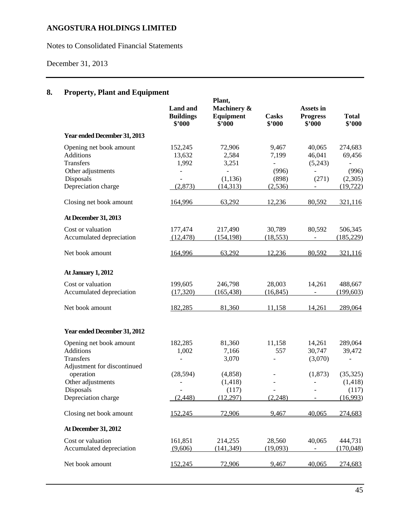Notes to Consolidated Financial Statements

December 31, 2013

# **8. Property, Plant and Equipment**

|                              | <b>Land</b> and<br><b>Buildings</b><br>\$'000 | Plant,<br>Machinery &<br>Equipment<br>\$'000 | <b>Casks</b><br>\$'000   | Assets in<br><b>Progress</b><br>\$'000 | <b>Total</b><br>\$'000   |
|------------------------------|-----------------------------------------------|----------------------------------------------|--------------------------|----------------------------------------|--------------------------|
| Year ended December 31, 2013 |                                               |                                              |                          |                                        |                          |
| Opening net book amount      | 152,245                                       | 72,906                                       | 9,467                    | 40,065                                 | 274,683                  |
| Additions                    | 13,632                                        | 2,584                                        | 7,199                    | 46,041                                 | 69,456                   |
| Transfers                    | 1,992                                         | 3,251                                        | $\overline{a}$           | (5,243)                                | $\overline{\phantom{a}}$ |
| Other adjustments            | $\overline{\phantom{m}}$                      | $\overline{\phantom{a}}$                     | (996)                    | $\overline{\phantom{a}}$               | (996)                    |
| Disposals                    |                                               | (1, 136)                                     | (898)                    | (271)                                  | (2,305)                  |
| Depreciation charge          | (2,873)                                       | (14, 313)                                    | (2,536)                  | $\overline{\phantom{a}}$               | (19, 722)                |
| Closing net book amount      | 164,996                                       | 63,292                                       | 12,236                   | 80,592                                 | 321,116                  |
| At December 31, 2013         |                                               |                                              |                          |                                        |                          |
| Cost or valuation            | 177,474                                       | 217,490                                      | 30,789                   | 80,592                                 | 506,345                  |
| Accumulated depreciation     | (12, 478)                                     | (154, 198)                                   | (18, 553)                |                                        | (185, 229)               |
|                              |                                               |                                              |                          |                                        |                          |
| Net book amount              | 164,996                                       | 63,292                                       | 12,236                   | 80,592                                 | 321,116                  |
| At January 1, 2012           |                                               |                                              |                          |                                        |                          |
| Cost or valuation            | 199,605                                       | 246,798                                      | 28,003                   | 14,261                                 | 488,667                  |
| Accumulated depreciation     | (17, 320)                                     | (165, 438)                                   | (16, 845)                |                                        | (199, 603)               |
| Net book amount              | 182,285                                       | 81,360                                       | 11,158                   | 14,261                                 | 289,064                  |
| Year ended December 31, 2012 |                                               |                                              |                          |                                        |                          |
| Opening net book amount      | 182,285                                       | 81,360                                       | 11,158                   | 14,261                                 | 289,064                  |
| Additions                    | 1,002                                         | 7,166                                        | 557                      | 30,747                                 | 39,472                   |
| <b>Transfers</b>             | $\overline{\phantom{0}}$                      | 3,070                                        | $\overline{\phantom{0}}$ | (3,070)                                | $\overline{\phantom{a}}$ |
| Adjustment for discontinued  |                                               |                                              |                          |                                        |                          |
| operation                    | (28, 594)                                     | (4,858)                                      | $\overline{\phantom{a}}$ | (1,873)                                | (35,325)                 |
| Other adjustments            |                                               | (1, 418)                                     | $\overline{a}$           |                                        | (1, 418)                 |
| Disposals                    |                                               | (117)                                        |                          |                                        | (117)                    |
| Depreciation charge          | (2, 448)                                      | (12, 297)                                    | (2,248)                  |                                        | (16,993)                 |
| Closing net book amount      | 152,245                                       | 72,906                                       | 9,467                    | 40,065                                 | 274,683                  |
| At December 31, 2012         |                                               |                                              |                          |                                        |                          |
| Cost or valuation            | 161,851                                       | 214,255                                      | 28,560                   | 40,065                                 | 444,731                  |
| Accumulated depreciation     | (9,606)                                       | (141, 349)                                   | (19,093)                 |                                        | (170,048)                |
| Net book amount              | 152,245                                       | 72,906                                       | 9,467                    | 40,065                                 | 274,683                  |
|                              |                                               |                                              |                          |                                        |                          |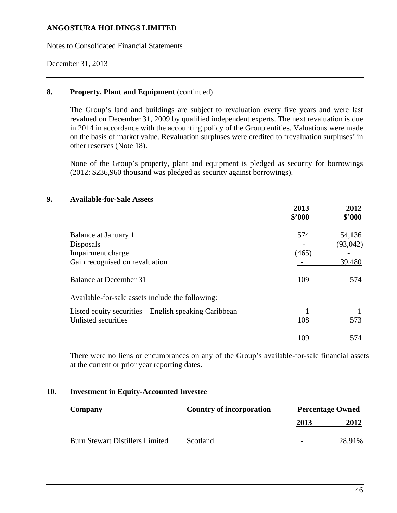Notes to Consolidated Financial Statements

December 31, 2013

### **8.** Property, Plant and Equipment (continued)

The Group's land and buildings are subject to revaluation every five years and were last revalued on December 31, 2009 by qualified independent experts. The next revaluation is due in 2014 in accordance with the accounting policy of the Group entities. Valuations were made on the basis of market value. Revaluation surpluses were credited to 'revaluation surpluses' in other reserves (Note 18).

None of the Group's property, plant and equipment is pledged as security for borrowings (2012: \$236,960 thousand was pledged as security against borrowings).

### **9. Available-for-Sale Assets**

|                                                       | 2013   | 2012     |
|-------------------------------------------------------|--------|----------|
|                                                       | \$2000 | \$'000   |
| Balance at January 1                                  | 574    | 54,136   |
| Disposals                                             |        | (93,042) |
| Impairment charge                                     | (465)  |          |
| Gain recognised on revaluation                        |        | 39,480   |
| Balance at December 31                                | 109    | 574      |
| Available-for-sale assets include the following:      |        |          |
| Listed equity securities – English speaking Caribbean |        |          |
| Unlisted securities                                   | 108    | 573      |
|                                                       | 109    | 574      |

There were no liens or encumbrances on any of the Group's available-for-sale financial assets at the current or prior year reporting dates.

### **10. Investment in Equity-Accounted Investee**

| Company                                | Country of incorporation | <b>Percentage Owned</b>  |        |
|----------------------------------------|--------------------------|--------------------------|--------|
|                                        |                          | 2013                     | 2012   |
| <b>Burn Stewart Distillers Limited</b> | Scotland                 | $\overline{\phantom{0}}$ | 28.91% |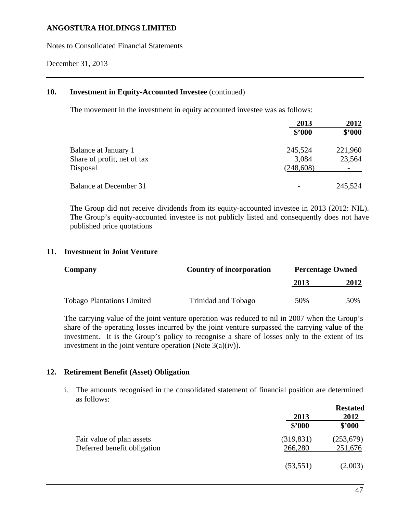Notes to Consolidated Financial Statements

December 31, 2013

#### **10. Investment in Equity-Accounted Investee** (continued)

The movement in the investment in equity accounted investee was as follows:

|                             | 2013       | 2012    |
|-----------------------------|------------|---------|
|                             | \$2000     | \$3000  |
| Balance at January 1        | 245,524    | 221,960 |
| Share of profit, net of tax | 3,084      | 23,564  |
| Disposal                    | (248, 608) | -       |
| Balance at December 31      |            | 245,524 |

The Group did not receive dividends from its equity-accounted investee in 2013 (2012: NIL). The Group's equity-accounted investee is not publicly listed and consequently does not have published price quotations

#### **11. Investment in Joint Venture**

| Company                           | Country of incorporation |      | <b>Percentage Owned</b> |  |
|-----------------------------------|--------------------------|------|-------------------------|--|
|                                   |                          | 2013 | 2012                    |  |
| <b>Tobago Plantations Limited</b> | Trinidad and Tobago      | 50%  | 50%                     |  |

 The carrying value of the joint venture operation was reduced to nil in 2007 when the Group's share of the operating losses incurred by the joint venture surpassed the carrying value of the investment. It is the Group's policy to recognise a share of losses only to the extent of its investment in the joint venture operation (Note  $3(a)(iv)$ ).

### **12. Retirement Benefit (Asset) Obligation**

i. The amounts recognised in the consolidated statement of financial position are determined as follows:

|                             |            | <b>Restated</b> |  |
|-----------------------------|------------|-----------------|--|
|                             | 2013       | 2012            |  |
|                             | \$2000     | \$2000          |  |
| Fair value of plan assets   | (319, 831) | (253,679)       |  |
| Deferred benefit obligation | 266,280    | 251,676         |  |
|                             | (53, 551)  | (2,003)         |  |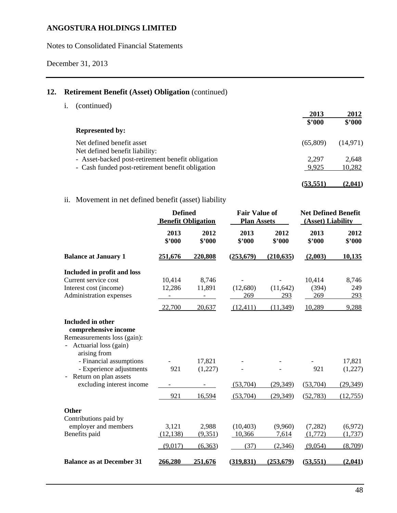Notes to Consolidated Financial Statements

December 31, 2013

## **12. Retirement Benefit (Asset) Obligation** (continued)

i. (continued)

|                                                   | 2013     | 2012      |
|---------------------------------------------------|----------|-----------|
|                                                   | \$'000   | \$'000    |
| <b>Represented by:</b>                            |          |           |
| Net defined benefit asset                         | (65,809) | (14, 971) |
| Net defined benefit liability:                    |          |           |
| - Asset-backed post-retirement benefit obligation | 2,297    | 2,648     |
| - Cash funded post-retirement benefit obligation  | 9,925    | 10,282    |
|                                                   |          | (2.041    |

## ii. Movement in net defined benefit (asset) liability

|                                                                                                                     | <b>Defined</b><br><b>Benefit Obligation</b> |                          | <b>Fair Value of</b><br><b>Plan Assets</b> |                | <b>Net Defined Benefit</b><br>(Asset) Liability |                |
|---------------------------------------------------------------------------------------------------------------------|---------------------------------------------|--------------------------|--------------------------------------------|----------------|-------------------------------------------------|----------------|
|                                                                                                                     | 2013<br>\$'000                              | 2012<br>\$'000           | 2013<br>\$'000                             | 2012<br>\$'000 | 2013<br>\$'000                                  | 2012<br>\$'000 |
| <b>Balance at January 1</b>                                                                                         | 251,676                                     | 220,808                  | (253,679)                                  | (210, 635)     | (2,003)                                         | 10,135         |
| Included in profit and loss                                                                                         |                                             |                          |                                            |                |                                                 |                |
| Current service cost                                                                                                | 10,414                                      | 8,746                    |                                            |                | 10,414                                          | 8,746          |
| Interest cost (income)                                                                                              | 12,286                                      | 11,891                   | (12,680)                                   | (11, 642)      | (394)                                           | 249            |
| Administration expenses                                                                                             |                                             | $\overline{\phantom{0}}$ | 269                                        | 293            | 269                                             | 293            |
|                                                                                                                     | 22,700                                      | 20,637                   | (12, 411)                                  | (11, 349)      | 10,289                                          | 9,288          |
| Included in other<br>comprehensive income<br>Remeasurements loss (gain):<br>- Actuarial loss (gain)<br>arising from |                                             |                          |                                            |                |                                                 |                |
| - Financial assumptions                                                                                             |                                             | 17,821                   |                                            |                |                                                 | 17,821         |
| - Experience adjustments                                                                                            | 921                                         | (1,227)                  |                                            |                | 921                                             | (1,227)        |
| Return on plan assets<br>Ξ.<br>excluding interest income                                                            |                                             |                          | (53,704)                                   | (29, 349)      | (53,704)                                        | (29, 349)      |
|                                                                                                                     |                                             |                          |                                            |                |                                                 |                |
|                                                                                                                     | 921                                         | 16,594                   | (53,704)                                   | (29, 349)      | (52, 783)                                       | (12,755)       |
| <b>Other</b><br>Contributions paid by                                                                               |                                             |                          |                                            |                |                                                 |                |
| employer and members                                                                                                | 3,121                                       | 2,988                    | (10, 403)                                  | (9,960)        | (7,282)                                         | (6,972)        |
| Benefits paid                                                                                                       | (12, 138)                                   | (9,351)                  | 10,366                                     | 7,614          | (1,772)                                         | (1,737)        |
|                                                                                                                     | (9,017)                                     | (6,363)                  | (37)                                       | (2,346)        | (9,054)                                         | (8,709)        |
| <b>Balance as at December 31</b>                                                                                    | 266,280                                     | 251,676                  | (319, 831)                                 | (253, 679)     | (53, 551)                                       | (2,041)        |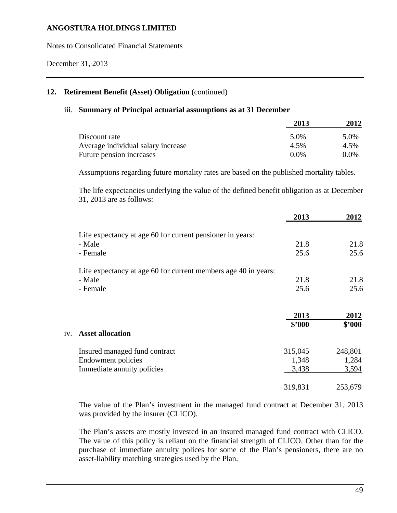Notes to Consolidated Financial Statements

December 31, 2013

### **12. Retirement Benefit (Asset) Obligation** (continued)

#### iii. **Summary of Principal actuarial assumptions as at 31 December**

|                                    | 2013    | 2012    |
|------------------------------------|---------|---------|
| Discount rate                      | 5.0%    | 5.0%    |
| Average individual salary increase | 4.5%    | 4.5%    |
| Future pension increases           | $0.0\%$ | $0.0\%$ |

Assumptions regarding future mortality rates are based on the published mortality tables.

 The life expectancies underlying the value of the defined benefit obligation as at December 31, 2013 are as follows:

|     |                                                                | 2013    | 2012        |
|-----|----------------------------------------------------------------|---------|-------------|
|     | Life expectancy at age 60 for current pensioner in years:      |         |             |
|     | - Male                                                         | 21.8    | 21.8        |
|     | - Female                                                       | 25.6    | 25.6        |
|     | Life expectancy at age 60 for current members age 40 in years: |         |             |
|     | - Male                                                         | 21.8    | 21.8        |
|     | - Female                                                       | 25.6    | 25.6        |
|     |                                                                | 2013    | <u>2012</u> |
|     |                                                                | \$'000  | \$2000      |
| iv. | <b>Asset allocation</b>                                        |         |             |
|     | Insured managed fund contract                                  | 315,045 | 248,801     |
|     | <b>Endowment policies</b>                                      | 1,348   | 1,284       |
|     | Immediate annuity policies                                     | 3,438   | 3,594       |
|     |                                                                | 319,831 | 253,679     |

The value of the Plan's investment in the managed fund contract at December 31, 2013 was provided by the insurer (CLICO).

The Plan's assets are mostly invested in an insured managed fund contract with CLICO. The value of this policy is reliant on the financial strength of CLICO. Other than for the purchase of immediate annuity polices for some of the Plan's pensioners, there are no asset-liability matching strategies used by the Plan.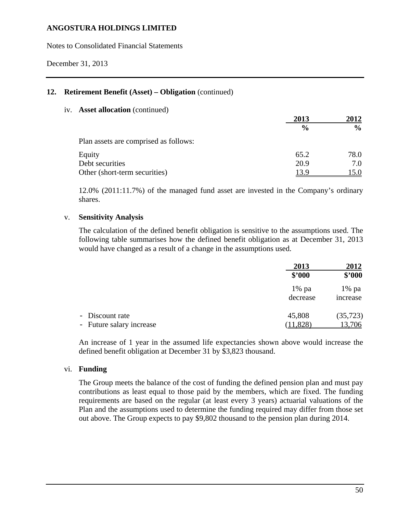Notes to Consolidated Financial Statements

December 31, 2013

### **12. Retirement Benefit (Asset) – Obligation** (continued)

#### iv. **Asset allocation** (continued)

|                                       | 2013          | 2012<br>$\frac{6}{9}$ |
|---------------------------------------|---------------|-----------------------|
|                                       | $\frac{6}{6}$ |                       |
| Plan assets are comprised as follows: |               |                       |
| Equity                                | 65.2          | 78.0                  |
| Debt securities                       | 20.9          | 7.0                   |
| Other (short-term securities)         | 13.9          | 5.0                   |

12.0% (2011:11.7%) of the managed fund asset are invested in the Company's ordinary shares.

### v. **Sensitivity Analysis**

The calculation of the defined benefit obligation is sensitive to the assumptions used. The following table summarises how the defined benefit obligation as at December 31, 2013 would have changed as a result of a change in the assumptions used.

|                          | 2013                 | 2012                 |
|--------------------------|----------------------|----------------------|
|                          | \$2000               | \$'000               |
|                          | $1\%$ pa<br>decrease | $1\%$ pa<br>increase |
| - Discount rate          | 45,808               | (35, 723)            |
| - Future salary increase | (11, 828)            | 13,706               |

An increase of 1 year in the assumed life expectancies shown above would increase the defined benefit obligation at December 31 by \$3,823 thousand.

### vi. **Funding**

The Group meets the balance of the cost of funding the defined pension plan and must pay contributions as least equal to those paid by the members, which are fixed. The funding requirements are based on the regular (at least every 3 years) actuarial valuations of the Plan and the assumptions used to determine the funding required may differ from those set out above. The Group expects to pay \$9,802 thousand to the pension plan during 2014.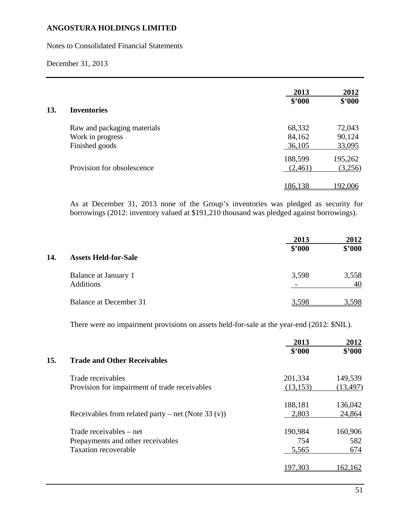Notes to Consolidated Financial Statements

December 31, 2013

|     |                             | 2013    | 2012    |
|-----|-----------------------------|---------|---------|
|     |                             | \$2000  | \$2000  |
| 13. | <b>Inventories</b>          |         |         |
|     | Raw and packaging materials | 68,332  | 72,043  |
|     | Work in progress            | 84,162  | 90,124  |
|     | Finished goods              | 36,105  | 33,095  |
|     |                             | 188,599 | 195,262 |
|     | Provision for obsolescence  | (2,461) | (3,256) |
|     |                             | 186,138 | 192,006 |

As at December 31, 2013 none of the Group's inventories was pledged as security for borrowings (2012: inventory valued at \$191,210 thousand was pledged against borrowings).

|     |                                          | 2013   | 2012        |
|-----|------------------------------------------|--------|-------------|
| 14. | <b>Assets Held-for-Sale</b>              | \$2000 | \$3000      |
|     | Balance at January 1<br><b>Additions</b> | 3,598  | 3,558<br>40 |
|     | Balance at December 31                   | 3.598  | 3,598       |

There were no impairment provisions on assets held-for-sale at the year-end (2012: \$NIL).

|     |                                                       | 2013      | 2012      |
|-----|-------------------------------------------------------|-----------|-----------|
|     |                                                       | \$2000    | \$2000    |
| 15. | <b>Trade and Other Receivables</b>                    |           |           |
|     | Trade receivables                                     | 201,334   | 149,539   |
|     | Provision for impairment of trade receivables         | (13, 153) | (13, 497) |
|     |                                                       | 188,181   | 136,042   |
|     | Receivables from related party – net (Note 33 $(v)$ ) | 2,803     | 24,864    |
|     | Trade receivables – net                               | 190,984   | 160,906   |
|     | Prepayments and other receivables                     | 754       | 582       |
|     | <b>Taxation recoverable</b>                           | 5,565     | 674       |
|     |                                                       | 197.303   | 162,162   |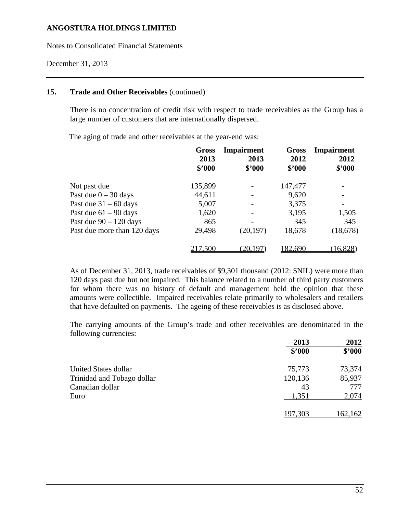Notes to Consolidated Financial Statements

December 31, 2013

### **15. Trade and Other Receivables** (continued)

There is no concentration of credit risk with respect to trade receivables as the Group has a large number of customers that are internationally dispersed.

The aging of trade and other receivables at the year-end was:

|                             | Gross<br>2013 | <b>Impairment</b><br>2013 | Gross<br>2012 | <b>Impairment</b><br>2012 |
|-----------------------------|---------------|---------------------------|---------------|---------------------------|
|                             | \$2000        | \$2000                    | \$'000        | \$'000                    |
| Not past due                | 135,899       |                           | 147,477       |                           |
| Past due $0 - 30$ days      | 44,611        |                           | 9,620         |                           |
| Past due $31 - 60$ days     | 5,007         |                           | 3,375         |                           |
| Past due $61 - 90$ days     | 1,620         |                           | 3,195         | 1,505                     |
| Past due $90 - 120$ days    | 865           |                           | 345           | 345                       |
| Past due more than 120 days | 29,498        | (20, 197)                 | 18,678        | (18, 678)                 |
|                             | 217,500       | (20.197                   | 182,690       | 16,828                    |

As of December 31, 2013, trade receivables of \$9,301 thousand (2012: \$NIL) were more than 120 days past due but not impaired. This balance related to a number of third party customers for whom there was no history of default and management held the opinion that these amounts were collectible. Impaired receivables relate primarily to wholesalers and retailers that have defaulted on payments. The ageing of these receivables is as disclosed above.

 The carrying amounts of the Group's trade and other receivables are denominated in the following currencies:

|                            | 2013    | 2012    |
|----------------------------|---------|---------|
|                            | \$2000  | \$2000  |
| United States dollar       | 75,773  | 73,374  |
| Trinidad and Tobago dollar | 120,136 | 85,937  |
| Canadian dollar            | 43      | 777     |
| Euro                       | 1,351   | 2,074   |
|                            | 197,303 | 162,162 |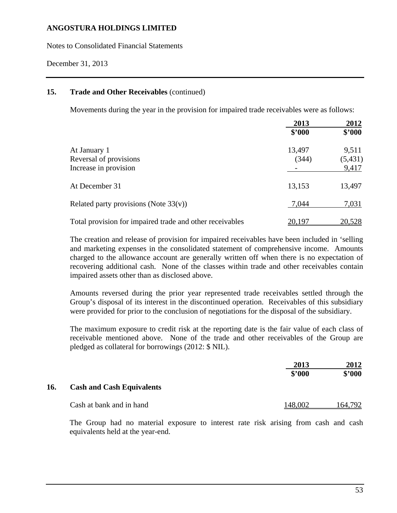Notes to Consolidated Financial Statements

December 31, 2013

### **15. Trade and Other Receivables** (continued)

Movements during the year in the provision for impaired trade receivables were as follows:

|                                                          | 2013   | 2012     |
|----------------------------------------------------------|--------|----------|
|                                                          | \$2000 | \$2000   |
| At January 1                                             | 13,497 | 9,511    |
| Reversal of provisions                                   | (344)  | (5, 431) |
| Increase in provision                                    |        | 9,417    |
| At December 31                                           | 13,153 | 13,497   |
| Related party provisions (Note $33(v)$ )                 | 7,044  | 7,031    |
| Total provision for impaired trade and other receivables | 20,197 | 20,528   |

The creation and release of provision for impaired receivables have been included in 'selling and marketing expenses in the consolidated statement of comprehensive income. Amounts charged to the allowance account are generally written off when there is no expectation of recovering additional cash. None of the classes within trade and other receivables contain impaired assets other than as disclosed above.

Amounts reversed during the prior year represented trade receivables settled through the Group's disposal of its interest in the discontinued operation. Receivables of this subsidiary were provided for prior to the conclusion of negotiations for the disposal of the subsidiary.

The maximum exposure to credit risk at the reporting date is the fair value of each class of receivable mentioned above. None of the trade and other receivables of the Group are pledged as collateral for borrowings (2012: \$ NIL).

|     |                                  | 2013<br>\$2000 | 2012<br>\$2000 |
|-----|----------------------------------|----------------|----------------|
| 16. | <b>Cash and Cash Equivalents</b> |                |                |
|     | Cash at bank and in hand         | 148,002        | 164,792        |

The Group had no material exposure to interest rate risk arising from cash and cash equivalents held at the year-end.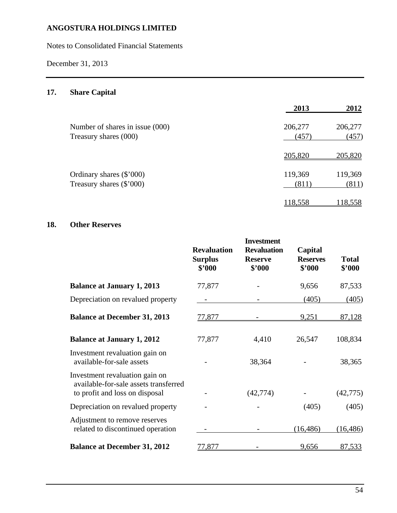Notes to Consolidated Financial Statements

December 31, 2013

## **17. Share Capital**

|                                 | 2013    | 2012    |
|---------------------------------|---------|---------|
| Number of shares in issue (000) | 206,277 | 206,277 |
| Treasury shares (000)           | (457)   | (457)   |
|                                 | 205,820 | 205,820 |
| Ordinary shares (\$'000)        | 119,369 | 119,369 |
| Treasury shares (\$'000)        | (811)   | (811)   |
|                                 | 118.558 | 18.558  |

## **18. Other Reserves**

|                                                                                                           | <b>Revaluation</b><br><b>Surplus</b><br>\$3000 | <b>Investment</b><br><b>Revaluation</b><br><b>Reserve</b><br>\$'000 | Capital<br><b>Reserves</b><br>\$'000 | <b>Total</b><br>\$'000 |
|-----------------------------------------------------------------------------------------------------------|------------------------------------------------|---------------------------------------------------------------------|--------------------------------------|------------------------|
| <b>Balance at January 1, 2013</b>                                                                         | 77,877                                         |                                                                     | 9,656                                | 87,533                 |
| Depreciation on revalued property                                                                         |                                                |                                                                     | (405)                                | (405)                  |
| <b>Balance at December 31, 2013</b>                                                                       | 77,877                                         |                                                                     | 9,251                                | 87,128                 |
| <b>Balance at January 1, 2012</b>                                                                         | 77,877                                         | 4,410                                                               | 26,547                               | 108,834                |
| Investment revaluation gain on<br>available-for-sale assets                                               |                                                | 38,364                                                              |                                      | 38,365                 |
| Investment revaluation gain on<br>available-for-sale assets transferred<br>to profit and loss on disposal |                                                | (42, 774)                                                           |                                      | (42, 775)              |
| Depreciation on revalued property                                                                         |                                                |                                                                     | (405)                                | (405)                  |
| Adjustment to remove reserves<br>related to discontinued operation                                        |                                                |                                                                     | (16, 486)                            | (16, 486)              |
| <b>Balance at December 31, 2012</b>                                                                       | 77,877                                         |                                                                     | 9,656                                | 87,533                 |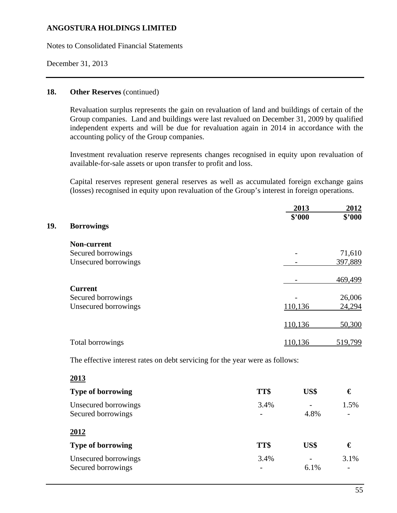Notes to Consolidated Financial Statements

December 31, 2013

### **18. Other Reserves** (continued)

Revaluation surplus represents the gain on revaluation of land and buildings of certain of the Group companies. Land and buildings were last revalued on December 31, 2009 by qualified independent experts and will be due for revaluation again in 2014 in accordance with the accounting policy of the Group companies.

Investment revaluation reserve represents changes recognised in equity upon revaluation of available-for-sale assets or upon transfer to profit and loss.

Capital reserves represent general reserves as well as accumulated foreign exchange gains (losses) recognised in equity upon revaluation of the Group's interest in foreign operations.

|     |                      | 2013    | 2012    |
|-----|----------------------|---------|---------|
|     |                      | \$2000  | \$'000  |
| 19. | <b>Borrowings</b>    |         |         |
|     | <b>Non-current</b>   |         |         |
|     | Secured borrowings   |         | 71,610  |
|     | Unsecured borrowings |         | 397,889 |
|     |                      |         | 469,499 |
|     | <b>Current</b>       |         |         |
|     | Secured borrowings   |         | 26,006  |
|     | Unsecured borrowings | 110,136 | 24,294  |
|     |                      | 110,136 | 50,300  |
|     | Total borrowings     | 110,136 | 519,799 |

The effective interest rates on debt servicing for the year were as follows:

### **2013**

| <b>Type of borrowing</b>                   | TT\$ | US\$ | €    |
|--------------------------------------------|------|------|------|
| Unsecured borrowings<br>Secured borrowings | 3.4% | 4.8% | 1.5% |
| 2012                                       |      |      |      |
| <b>Type of borrowing</b>                   | TT\$ | US\$ | €    |
| Unsecured borrowings<br>Secured borrowings | 3.4% | 6.1% | 3.1% |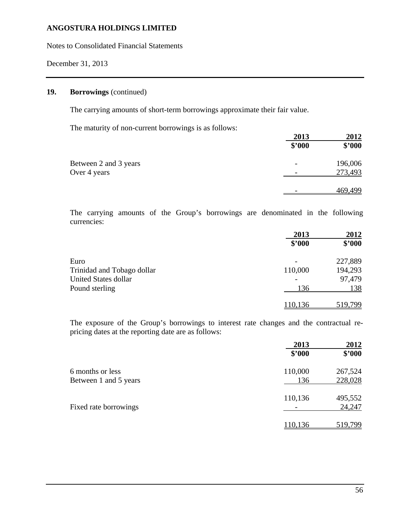Notes to Consolidated Financial Statements

December 31, 2013

### **19. Borrowings** (continued)

The carrying amounts of short-term borrowings approximate their fair value.

The maturity of non-current borrowings is as follows:

|                       | 2013   | 2012    |
|-----------------------|--------|---------|
|                       | \$3000 | \$'000  |
| Between 2 and 3 years | -      | 196,006 |
| Over 4 years          |        | 273,493 |
|                       |        | 469,499 |

The carrying amounts of the Group's borrowings are denominated in the following currencies:

|                             | 2013    | 2012    |
|-----------------------------|---------|---------|
|                             | \$2000  | \$2000  |
| Euro                        |         | 227,889 |
| Trinidad and Tobago dollar  | 110,000 | 194,293 |
| <b>United States dollar</b> |         | 97,479  |
| Pound sterling              | 136     | 138     |
|                             | 0.136   | 519,799 |

The exposure of the Group's borrowings to interest rate changes and the contractual repricing dates at the reporting date are as follows:

|                       | 2013    | 2012    |
|-----------------------|---------|---------|
|                       | \$2000  | \$'000  |
| 6 months or less      | 110,000 | 267,524 |
| Between 1 and 5 years | 136     | 228,028 |
|                       | 110,136 | 495,552 |
| Fixed rate borrowings |         | 24,247  |
|                       | 110,136 | 519,799 |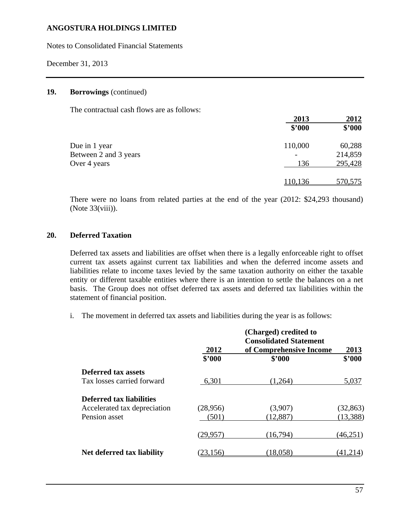Notes to Consolidated Financial Statements

December 31, 2013

#### **19. Borrowings** (continued)

The contractual cash flows are as follows:

|                       | 2013    | 2012    |
|-----------------------|---------|---------|
|                       | \$2000  | \$'000  |
| Due in 1 year         | 110,000 | 60,288  |
| Between 2 and 3 years |         | 214,859 |
| Over 4 years          | 136     | 295,428 |
|                       | 110,136 | 570,575 |

There were no loans from related parties at the end of the year (2012: \$24,293 thousand) (Note 33(viii)).

### **20. Deferred Taxation**

Deferred tax assets and liabilities are offset when there is a legally enforceable right to offset current tax assets against current tax liabilities and when the deferred income assets and liabilities relate to income taxes levied by the same taxation authority on either the taxable entity or different taxable entities where there is an intention to settle the balances on a net basis. The Group does not offset deferred tax assets and deferred tax liabilities within the statement of financial position.

i. The movement in deferred tax assets and liabilities during the year is as follows:

|                                 | 2012      | (Charged) credited to<br><b>Consolidated Statement</b><br>of Comprehensive Income | 2013      |
|---------------------------------|-----------|-----------------------------------------------------------------------------------|-----------|
|                                 | \$2000    | \$2000                                                                            | \$2000    |
| <b>Deferred tax assets</b>      |           |                                                                                   |           |
| Tax losses carried forward      | 6,301     | (1,264)                                                                           | 5,037     |
| <b>Deferred tax liabilities</b> |           |                                                                                   |           |
| Accelerated tax depreciation    | (28, 956) | (3,907)                                                                           | (32, 863) |
| Pension asset                   | (501)     | (12, 887)                                                                         | (13, 388) |
|                                 | (29, 957) | (16, 794)                                                                         | (46,251)  |
| Net deferred tax liability      | 23.156    | (18,058)                                                                          | (41,214)  |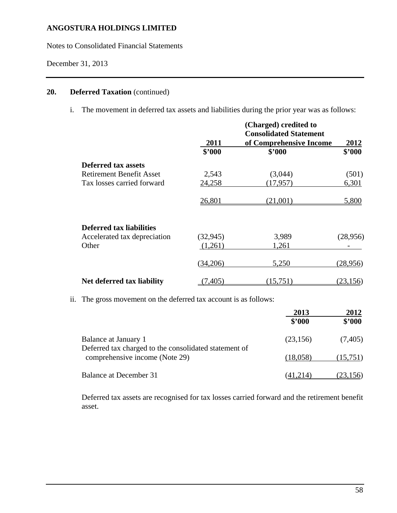Notes to Consolidated Financial Statements

December 31, 2013

## 20. **Deferred Taxation** (continued)

i. The movement in deferred tax assets and liabilities during the prior year was as follows:

|                                 | 2011      | (Charged) credited to<br><b>Consolidated Statement</b><br>of Comprehensive Income | 2012      |
|---------------------------------|-----------|-----------------------------------------------------------------------------------|-----------|
|                                 | \$'000    | \$2000                                                                            | \$2000    |
| <b>Deferred tax assets</b>      |           |                                                                                   |           |
| <b>Retirement Benefit Asset</b> | 2,543     | (3,044)                                                                           | (501)     |
| Tax losses carried forward      | 24,258    | (17, 957)                                                                         | 6,301     |
|                                 | 26,801    | (21,001)                                                                          | 5,800     |
| <b>Deferred tax liabilities</b> |           |                                                                                   |           |
| Accelerated tax depreciation    | (32, 945) | 3,989                                                                             | (28,956)  |
| Other                           | (1,261)   | 1,261                                                                             |           |
|                                 | (34,206)  | 5,250                                                                             | (28, 956) |
| Net deferred tax liability      | (7, 405)  | (15,751)                                                                          | (23, 156) |

ii. The gross movement on the deferred tax account is as follows:

|                                                                               | 2013     | <b>2012</b> |
|-------------------------------------------------------------------------------|----------|-------------|
|                                                                               | \$2000   | \$2000      |
| Balance at January 1<br>Deferred tax charged to the consolidated statement of | (23,156) | (7,405)     |
| comprehensive income (Note 29)                                                | (18,058) | (15,751)    |
| Balance at December 31                                                        | 41.214.  | 23,156      |

Deferred tax assets are recognised for tax losses carried forward and the retirement benefit asset.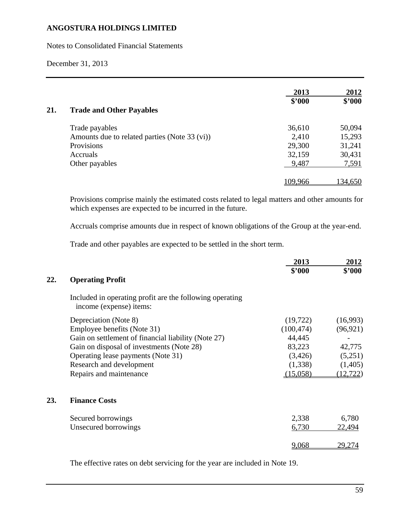Notes to Consolidated Financial Statements

December 31, 2013

|     |                                               | 2013    | 2012           |
|-----|-----------------------------------------------|---------|----------------|
|     |                                               | \$2000  | \$2000         |
| 21. | <b>Trade and Other Payables</b>               |         |                |
|     | Trade payables                                | 36,610  | 50,094         |
|     | Amounts due to related parties (Note 33 (vi)) | 2,410   | 15,293         |
|     | Provisions                                    | 29,300  | 31,241         |
|     | Accruals                                      | 32,159  | 30,431         |
|     | Other payables                                | 9,487   | 7,591          |
|     |                                               | 109,966 | <u>134,650</u> |

Provisions comprise mainly the estimated costs related to legal matters and other amounts for which expenses are expected to be incurred in the future.

Accruals comprise amounts due in respect of known obligations of the Group at the year-end.

Trade and other payables are expected to be settled in the short term.

|     |                                                                                     | 2013       | 2012          |
|-----|-------------------------------------------------------------------------------------|------------|---------------|
|     |                                                                                     | \$3000     | \$'000        |
| 22. | <b>Operating Profit</b>                                                             |            |               |
|     | Included in operating profit are the following operating<br>income (expense) items: |            |               |
|     | Depreciation (Note 8)                                                               | (19,722)   | (16,993)      |
|     | Employee benefits (Note 31)                                                         | (100, 474) | (96, 921)     |
|     | Gain on settlement of financial liability (Note 27)                                 | 44,445     |               |
|     | Gain on disposal of investments (Note 28)                                           | 83,223     | 42,775        |
|     | Operating lease payments (Note 31)                                                  | (3,426)    | (5,251)       |
|     | Research and development                                                            | (1,338)    | (1,405)       |
|     | Repairs and maintenance                                                             | (15,058)   | (12, 722)     |
| 23. | <b>Finance Costs</b>                                                                |            |               |
|     | Secured borrowings                                                                  | 2,338      | 6,780         |
|     | Unsecured borrowings                                                                | 6,730      | 22,494        |
|     |                                                                                     | 9,068      | <u>29,274</u> |
|     |                                                                                     |            |               |

The effective rates on debt servicing for the year are included in Note 19.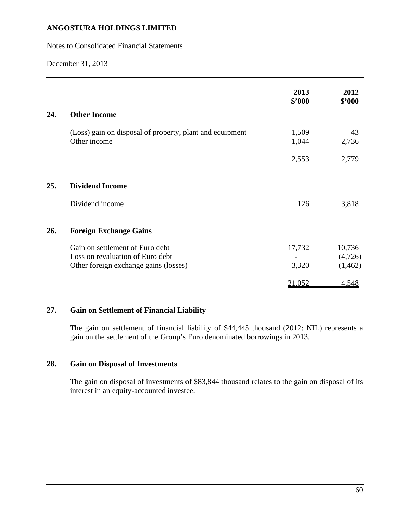Notes to Consolidated Financial Statements

December 31, 2013

|     |                                                          | 2013   | 2012         |
|-----|----------------------------------------------------------|--------|--------------|
|     |                                                          | \$'000 | \$2000       |
| 24. | <b>Other Income</b>                                      |        |              |
|     | (Loss) gain on disposal of property, plant and equipment | 1,509  | 43           |
|     | Other income                                             | 1,044  | 2,736        |
|     |                                                          | 2,553  | 2,779        |
| 25. | <b>Dividend Income</b>                                   |        |              |
|     |                                                          |        |              |
|     | Dividend income                                          | 126    | 3,818        |
| 26. | <b>Foreign Exchange Gains</b>                            |        |              |
|     | Gain on settlement of Euro debt                          | 17,732 | 10,736       |
|     | Loss on revaluation of Euro debt                         |        | (4,726)      |
|     | Other foreign exchange gains (losses)                    | 3,320  | (1, 462)     |
|     |                                                          | 21,052 | <u>4.548</u> |

## **27. Gain on Settlement of Financial Liability**

The gain on settlement of financial liability of \$44,445 thousand (2012: NIL) represents a gain on the settlement of the Group's Euro denominated borrowings in 2013.

## **28. Gain on Disposal of Investments**

 The gain on disposal of investments of \$83,844 thousand relates to the gain on disposal of its interest in an equity-accounted investee.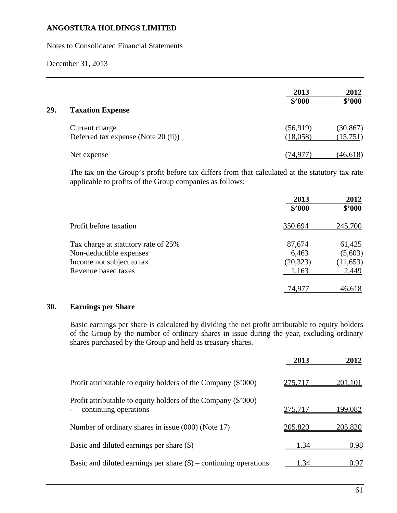Notes to Consolidated Financial Statements

December 31, 2013

|     |                                     | 2013      | 2012      |
|-----|-------------------------------------|-----------|-----------|
| 29. | <b>Taxation Expense</b>             | \$3000    | \$2000    |
|     |                                     |           |           |
|     | Current charge                      | (56, 919) | (30, 867) |
|     | Deferred tax expense (Note 20 (ii)) | (18,058)  | (15,751)  |
|     | Net expense                         | 74.97 .   | (46, 618) |

The tax on the Group's profit before tax differs from that calculated at the statutory tax rate applicable to profits of the Group companies as follows:

|                                     | 2013<br>\$'000 | 2012<br>\$2000 |
|-------------------------------------|----------------|----------------|
| Profit before taxation              | 350,694        | 245,700        |
| Tax charge at statutory rate of 25% | 87,674         | 61,425         |
| Non-deductible expenses             | 6,463          | (5,603)        |
| Income not subject to tax           | (20, 323)      | (11, 653)      |
| Revenue based taxes                 | 1,163          | 2,449          |
|                                     |                | 46,618         |

## **30. Earnings per Share**

Basic earnings per share is calculated by dividing the net profit attributable to equity holders of the Group by the number of ordinary shares in issue during the year, excluding ordinary shares purchased by the Group and held as treasury shares.

|                                                                                                                    | 2013    | 2012    |
|--------------------------------------------------------------------------------------------------------------------|---------|---------|
| Profit attributable to equity holders of the Company (\$'000)                                                      | 275.717 | 201.101 |
| Profit attributable to equity holders of the Company (\$'000)<br>continuing operations<br>$\overline{\phantom{a}}$ | 275,717 | 199,082 |
| Number of ordinary shares in issue (000) (Note 17)                                                                 | 205,820 | 205,820 |
| Basic and diluted earnings per share (\$)                                                                          | 1.34    | 0.98    |
| Basic and diluted earnings per share $(\$)$ – continuing operations                                                | 1.34    | 0.97    |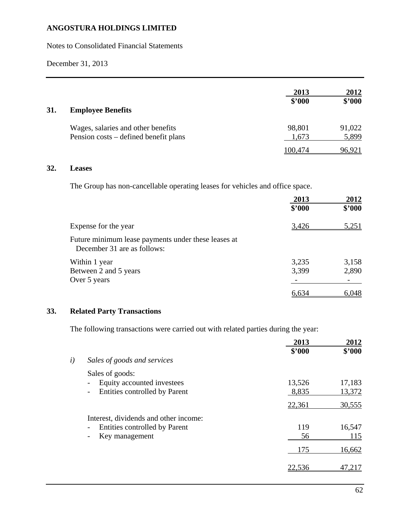Notes to Consolidated Financial Statements

December 31, 2013

|     |                                       | 2013    | 2012   |
|-----|---------------------------------------|---------|--------|
| 31. | <b>Employee Benefits</b>              | \$2000  | \$2000 |
|     | Wages, salaries and other benefits    | 98,801  | 91,022 |
|     | Pension costs – defined benefit plans | 1,673   | 5,899  |
|     |                                       | 100,474 | 96,921 |

# **32. Leases**

The Group has non-cancellable operating leases for vehicles and office space.

|                                                                                    | 2013   | 2012   |
|------------------------------------------------------------------------------------|--------|--------|
|                                                                                    | \$'000 | \$2000 |
| Expense for the year                                                               | 3,426  | 5,251  |
| Future minimum lease payments under these leases at<br>December 31 are as follows: |        |        |
| Within 1 year                                                                      | 3,235  | 3,158  |
| Between 2 and 5 years                                                              | 3,399  | 2,890  |
| Over 5 years                                                                       |        |        |
|                                                                                    | 6,634  | 6,048  |

# **33. Related Party Transactions**

The following transactions were carried out with related parties during the year:

|             |                                                                      | 2013   | 2012   |
|-------------|----------------------------------------------------------------------|--------|--------|
|             |                                                                      | \$'000 | \$2000 |
| $\dot{i}$ ) | Sales of goods and services                                          |        |        |
|             | Sales of goods:                                                      |        |        |
|             | Equity accounted investees<br>$\qquad \qquad \blacksquare$           | 13,526 | 17,183 |
|             | Entities controlled by Parent<br>$\qquad \qquad \blacksquare$        | 8,835  | 13,372 |
|             |                                                                      | 22,361 | 30,555 |
|             | Interest, dividends and other income:                                |        |        |
|             | <b>Entities controlled by Parent</b><br>$\qquad \qquad \blacksquare$ | 119    | 16,547 |
|             | Key management<br>$\overline{\phantom{0}}$                           | 56     | 115    |
|             |                                                                      | 175    | 16,662 |
|             |                                                                      | 22,536 | 47,217 |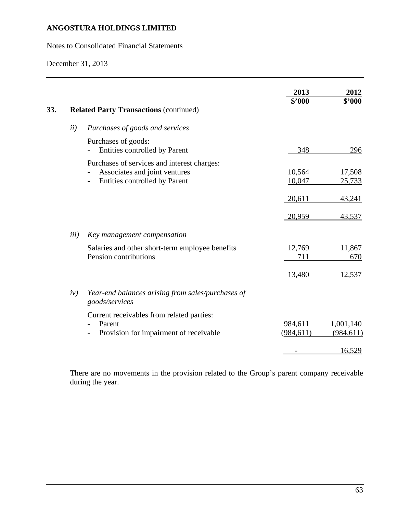Notes to Consolidated Financial Statements

December 31, 2013

|              |                                                                                                               | 2013                  | 2012                    |
|--------------|---------------------------------------------------------------------------------------------------------------|-----------------------|-------------------------|
| 33.          | <b>Related Party Transactions (continued)</b>                                                                 | \$'000                | \$3000                  |
| ii)          | Purchases of goods and services                                                                               |                       |                         |
|              | Purchases of goods:<br>Entities controlled by Parent                                                          | 348                   | 296                     |
|              | Purchases of services and interest charges:<br>Associates and joint ventures<br>Entities controlled by Parent | 10,564<br>10,047      | 17,508<br>25,733        |
|              |                                                                                                               | 20,611                | 43,241                  |
|              |                                                                                                               | 20,959                | 43,537                  |
| <i>iii</i> ) | Key management compensation                                                                                   |                       |                         |
|              | Salaries and other short-term employee benefits<br>Pension contributions                                      | 12,769<br>711         | 11,867<br>670           |
|              |                                                                                                               | 13,480                | 12,537                  |
| iv)          | Year-end balances arising from sales/purchases of<br>goods/services                                           |                       |                         |
|              | Current receivables from related parties:<br>Parent<br>Provision for impairment of receivable                 | 984,611<br>(984, 611) | 1,001,140<br>(984, 611) |
|              |                                                                                                               |                       | 16,529                  |

There are no movements in the provision related to the Group's parent company receivable during the year.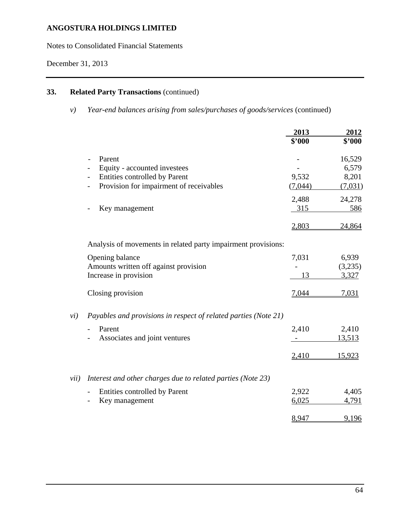Notes to Consolidated Financial Statements

December 31, 2013

# **33. Related Party Transactions** (continued)

## *v) Year-end balances arising from sales/purchases of goods/services* (continued)

|      |                                                                 | 2013    | 2012          |
|------|-----------------------------------------------------------------|---------|---------------|
|      |                                                                 | \$'000  | \$'000        |
|      | Parent<br>$\overline{\phantom{a}}$                              |         | 16,529        |
|      | Equity - accounted investees                                    |         | 6,579         |
|      | Entities controlled by Parent                                   | 9,532   | 8,201         |
|      | Provision for impairment of receivables                         | (7,044) | (7,031)       |
|      |                                                                 | 2,488   | 24,278        |
|      | Key management                                                  | 315     | 586           |
|      |                                                                 | 2,803   | 24,864        |
|      | Analysis of movements in related party impairment provisions:   |         |               |
|      | Opening balance                                                 | 7,031   | 6,939         |
|      | Amounts written off against provision                           |         | (3,235)       |
|      | Increase in provision                                           | 13      | 3,327         |
|      | Closing provision                                               | 7,044   | 7,031         |
| vi)  | Payables and provisions in respect of related parties (Note 21) |         |               |
|      | Parent                                                          | 2,410   | 2,410         |
|      | Associates and joint ventures                                   |         | <u>13,513</u> |
|      |                                                                 | 2,410   | 15,923        |
| vii) | Interest and other charges due to related parties (Note 23)     |         |               |
|      | Entities controlled by Parent                                   | 2,922   | 4,405         |
|      | Key management                                                  | 6,025   | 4,791         |
|      |                                                                 | 8,947   | 9,196         |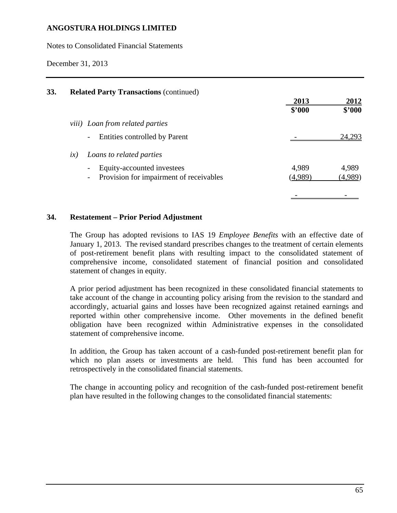Notes to Consolidated Financial Statements

December 31, 2013

### **33. Related Party Transactions** (continued)

|                                                                     | 2013    | 2012    |
|---------------------------------------------------------------------|---------|---------|
|                                                                     | \$2000  | \$2000  |
| viii) Loan from related parties                                     |         |         |
| Entities controlled by Parent<br>$\blacksquare$                     |         | 24.29   |
| Loans to related parties<br>ix)                                     |         |         |
| Equity-accounted investees<br>$\overline{\phantom{a}}$              | 4,989   | 4,989   |
| Provision for impairment of receivables<br>$\overline{\phantom{a}}$ | (4,989) | (4,989) |
|                                                                     |         |         |

### **34. Restatement – Prior Period Adjustment**

The Group has adopted revisions to IAS 19 *Employee Benefits* with an effective date of January 1, 2013. The revised standard prescribes changes to the treatment of certain elements of post-retirement benefit plans with resulting impact to the consolidated statement of comprehensive income, consolidated statement of financial position and consolidated statement of changes in equity.

A prior period adjustment has been recognized in these consolidated financial statements to take account of the change in accounting policy arising from the revision to the standard and accordingly, actuarial gains and losses have been recognized against retained earnings and reported within other comprehensive income. Other movements in the defined benefit obligation have been recognized within Administrative expenses in the consolidated statement of comprehensive income.

In addition, the Group has taken account of a cash-funded post-retirement benefit plan for which no plan assets or investments are held. This fund has been accounted for retrospectively in the consolidated financial statements.

The change in accounting policy and recognition of the cash-funded post-retirement benefit plan have resulted in the following changes to the consolidated financial statements: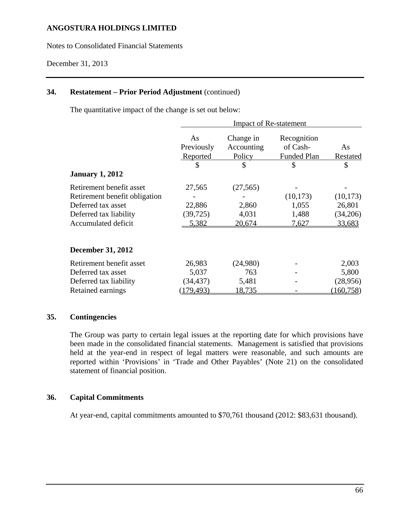Notes to Consolidated Financial Statements

December 31, 2013

### **34. Restatement – Prior Period Adjustment** (continued)

The quantitative impact of the change is set out below:

|                               | <b>Impact of Re-statement</b> |                         |                         |            |
|-------------------------------|-------------------------------|-------------------------|-------------------------|------------|
|                               | As<br>Previously              | Change in<br>Accounting | Recognition<br>of Cash- | As         |
|                               | Reported                      | Policy                  | <b>Funded Plan</b>      | Restated   |
|                               | \$                            | \$                      | \$                      | \$         |
| <b>January 1, 2012</b>        |                               |                         |                         |            |
| Retirement benefit asset      | 27,565                        | (27, 565)               |                         |            |
| Retirement benefit obligation |                               |                         | (10, 173)               | (10, 173)  |
| Deferred tax asset            | 22,886                        | 2,860                   | 1,055                   | 26,801     |
| Deferred tax liability        | (39, 725)                     | 4,031                   | 1,488                   | (34,206)   |
| Accumulated deficit           | 5,382                         | 20,674                  | 7,627                   | 33,683     |
|                               |                               |                         |                         |            |
| <b>December 31, 2012</b>      |                               |                         |                         |            |
| Retirement benefit asset      | 26,983                        | (24,980)                |                         | 2,003      |
| Deferred tax asset            | 5,037                         | 763                     |                         | 5,800      |
| Deferred tax liability        | (34, 437)                     | 5,481                   |                         | (28,956)   |
| Retained earnings             | (179, 493)                    | 18,735                  |                         | (160, 758) |

### **35. Contingencies**

The Group was party to certain legal issues at the reporting date for which provisions have been made in the consolidated financial statements. Management is satisfied that provisions held at the year-end in respect of legal matters were reasonable, and such amounts are reported within 'Provisions' in 'Trade and Other Payables' (Note 21) on the consolidated statement of financial position.

## **36. Capital Commitments**

At year-end, capital commitments amounted to \$70,761 thousand (2012: \$83,631 thousand).